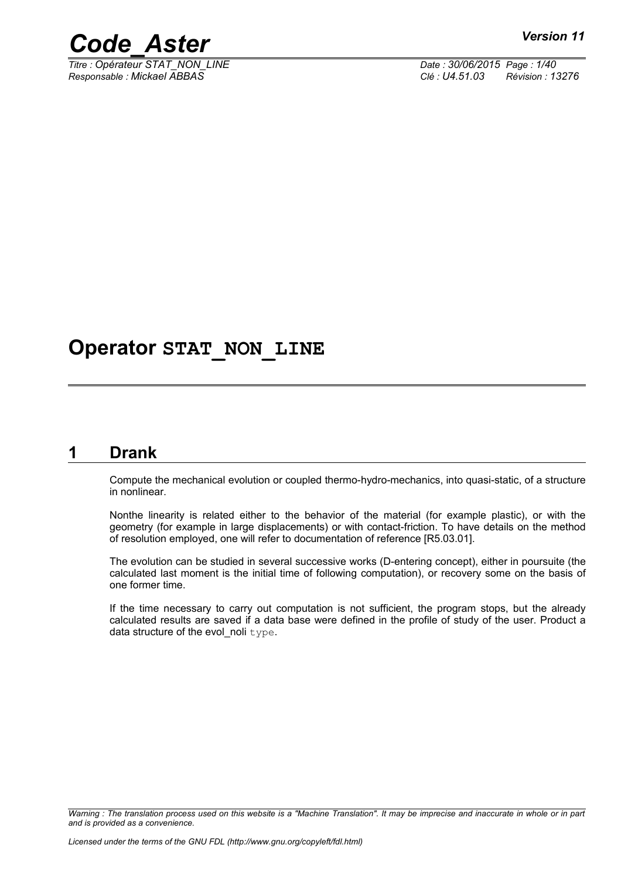

*Titre : Opérateur STAT\_NON\_LINE Date : 30/06/2015 Page : 1/40 Responsable : Mickael ABBAS Clé : U4.51.03 Révision : 13276*

## **Operator STAT\_NON\_LINE**

## **1 Drank**

<span id="page-0-0"></span>Compute the mechanical evolution or coupled thermo-hydro-mechanics, into quasi-static, of a structure in nonlinear.

Nonthe linearity is related either to the behavior of the material (for example plastic), or with the geometry (for example in large displacements) or with contact-friction. To have details on the method of resolution employed, one will refer to documentation of reference [R5.03.01].

The evolution can be studied in several successive works (D-entering concept), either in poursuite (the calculated last moment is the initial time of following computation), or recovery some on the basis of one former time.

If the time necessary to carry out computation is not sufficient, the program stops, but the already calculated results are saved if a data base were defined in the profile of study of the user. Product a data structure of the evol\_noli type.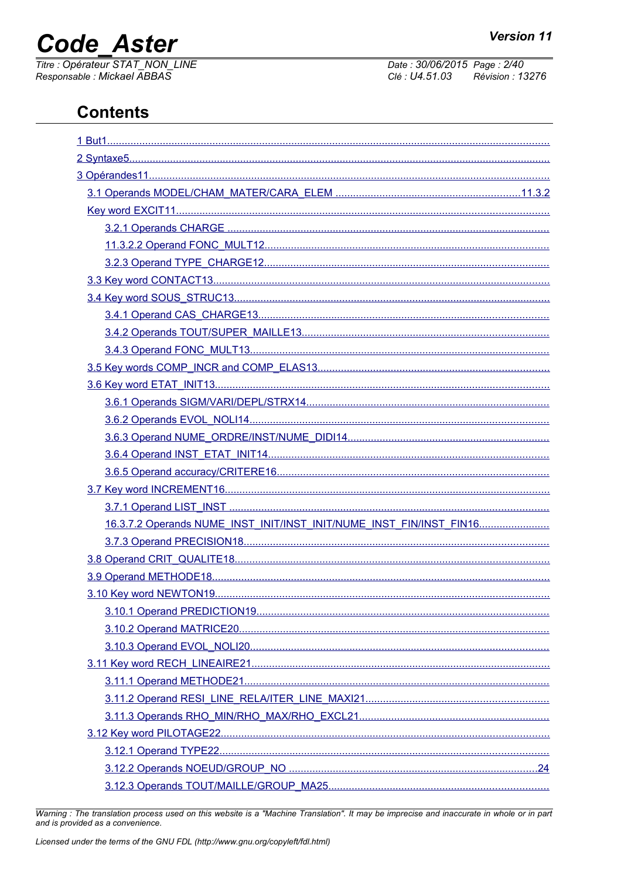# **Code\_Aster**

Titre : Opérateur STAT\_NON\_LINE<br>Responsable : Mickael ABBAS

Date: 30/06/2015 Page: 2/40 Clé : U4.51.03 Révision : 13276

## **Contents**

| 16.3.7.2 Operands NUME_INST_INIT/INST_INIT/NUME_INST_FIN/INST_FIN16 |
|---------------------------------------------------------------------|
|                                                                     |
|                                                                     |
|                                                                     |
|                                                                     |
|                                                                     |
|                                                                     |
|                                                                     |
|                                                                     |
|                                                                     |
|                                                                     |
|                                                                     |
|                                                                     |
|                                                                     |
|                                                                     |
|                                                                     |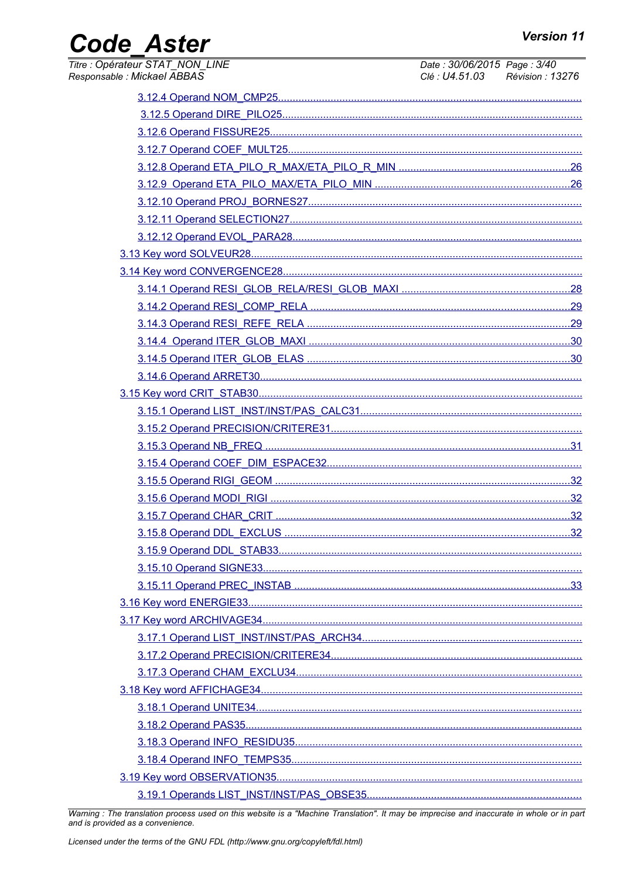## Code\_Aster

| Titre : Opérateur STAT_NON_LINE<br>Responsable : Mickael ABBAS | Date: 30/06/2015 Page: 3/40<br>Clé : U4.51.03 Révision : 13276 |
|----------------------------------------------------------------|----------------------------------------------------------------|
|                                                                |                                                                |
|                                                                |                                                                |
|                                                                |                                                                |
|                                                                |                                                                |
|                                                                |                                                                |
|                                                                |                                                                |
|                                                                |                                                                |
|                                                                |                                                                |
|                                                                |                                                                |
|                                                                |                                                                |
|                                                                |                                                                |
|                                                                |                                                                |
|                                                                |                                                                |
|                                                                |                                                                |
|                                                                |                                                                |
|                                                                |                                                                |
|                                                                |                                                                |
|                                                                |                                                                |
|                                                                |                                                                |
|                                                                |                                                                |
|                                                                |                                                                |
|                                                                |                                                                |
|                                                                |                                                                |
|                                                                |                                                                |
|                                                                |                                                                |
|                                                                |                                                                |
|                                                                |                                                                |
|                                                                |                                                                |
|                                                                |                                                                |
|                                                                |                                                                |
|                                                                |                                                                |
|                                                                |                                                                |
|                                                                |                                                                |
|                                                                |                                                                |
|                                                                |                                                                |
|                                                                |                                                                |
|                                                                |                                                                |
|                                                                |                                                                |
|                                                                |                                                                |
|                                                                |                                                                |
|                                                                |                                                                |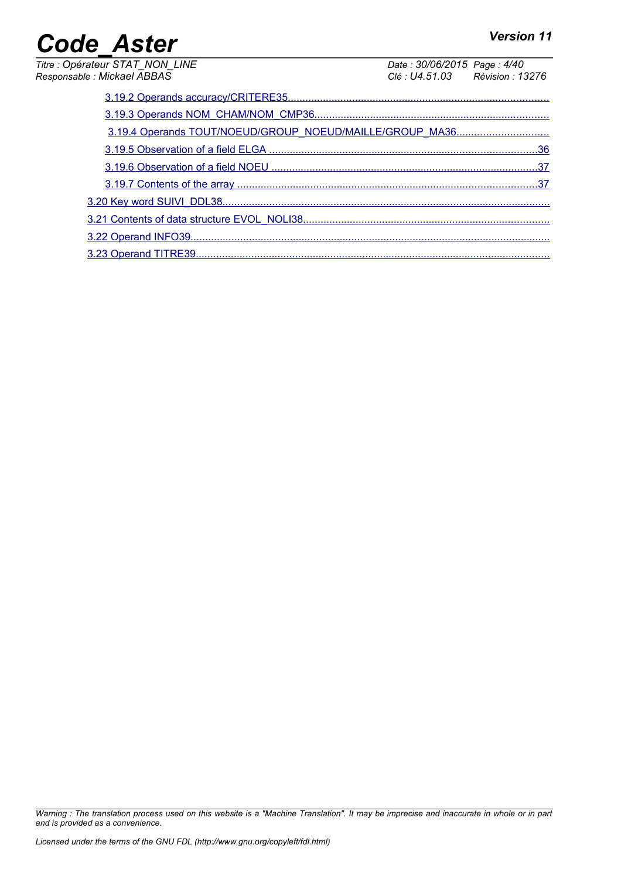| <b>Code Aster</b>                                              |                                                                | <b>Version 11</b> |
|----------------------------------------------------------------|----------------------------------------------------------------|-------------------|
| Titre : Opérateur STAT_NON_LINE<br>Responsable : Mickael ABBAS | Date: 30/06/2015 Page: 4/40<br>Clé : U4.51.03 Révision : 13276 |                   |
|                                                                |                                                                |                   |
|                                                                |                                                                |                   |
|                                                                |                                                                |                   |
|                                                                |                                                                |                   |
|                                                                |                                                                | 37                |
|                                                                |                                                                |                   |
|                                                                |                                                                |                   |
|                                                                |                                                                |                   |
|                                                                |                                                                |                   |
|                                                                |                                                                |                   |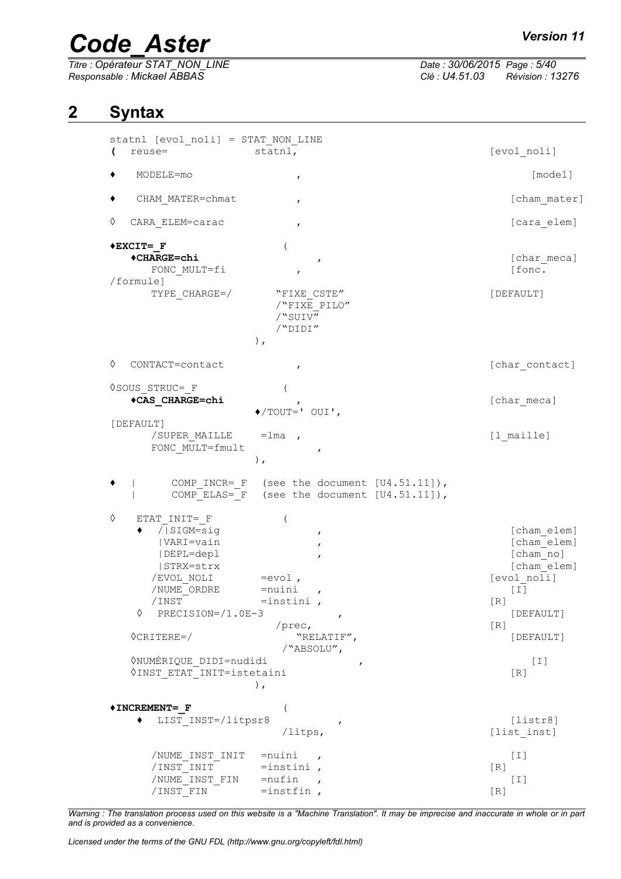# *Code\_Aster Version 11*<br>
Titre : Opérateur STAT\_NON\_LINE Date : 30/06/2015\_Page : 5/40

*Titre : Opérateur STAT\_NON\_LINE Date : 30/06/2015 Page : 5/40 Responsable : Mickael ABBAS Clé : U4.51.03 Révision : 13276*

## **2 Syntax**

<span id="page-4-0"></span>

| statnl [evol noli] = STAT NON LINE<br>(<br>reuse=                                                                                                                                                                                      | statnl,                                                                                                                              | [evol noli]                                                                                                                          |
|----------------------------------------------------------------------------------------------------------------------------------------------------------------------------------------------------------------------------------------|--------------------------------------------------------------------------------------------------------------------------------------|--------------------------------------------------------------------------------------------------------------------------------------|
|                                                                                                                                                                                                                                        |                                                                                                                                      |                                                                                                                                      |
| MODELE=mo                                                                                                                                                                                                                              | $\pmb{r}$                                                                                                                            | [model]                                                                                                                              |
| CHAM MATER=chmat                                                                                                                                                                                                                       |                                                                                                                                      | [cham mater]                                                                                                                         |
| ♦<br>CARA ELEM=carac                                                                                                                                                                                                                   | $\mathbf{r}$                                                                                                                         | [cara elem]                                                                                                                          |
| $*$ EXCIT= F<br>◆CHARGE=chi<br>FONC MULT=fi<br>/formule]<br>TYPE CHARGE=/                                                                                                                                                              | $\pmb{r}$<br>,<br>"FIXE CSTE"<br>/"FIXE PILO"<br>/"SUIV"<br>/"DIDI"<br>$)$ ,                                                         | [char meca]<br>[fonc.<br>[DEFAULT]                                                                                                   |
| ♦<br>CONTACT=contact                                                                                                                                                                                                                   |                                                                                                                                      | [char contact]                                                                                                                       |
| VSOUS STRUC= F<br>*CAS CHARGE=chi                                                                                                                                                                                                      | $\blacklozenge$ /TOUT=' OUI',                                                                                                        | [char meca]                                                                                                                          |
| [DEFAULT]<br>/SUPER MAILLE<br>FONC MULT=fmult                                                                                                                                                                                          | $=$ lma,<br>$\pmb{r}$<br>),                                                                                                          | [1 maille]                                                                                                                           |
|                                                                                                                                                                                                                                        | COMP INCR= F (see the document [U4.51.11]),<br>COMP ELAS= F (see the document [U4.51.11]),                                           |                                                                                                                                      |
| ♦<br>ETAT INIT= F<br>/ SIGM=sig<br> VARI=vain<br> DEPL=depl<br> STRX=strx<br>/EVOL NOLI<br>/NUME ORDRE<br>/INST<br>♦<br>PRECISION=/1.0E-3<br>$\Diamond$ CRITERE=/<br><b>ONUMÉRIQUE DIDI=nudidi</b><br><b>QINST ETAT INIT=istetaini</b> | ,<br>$=$ evol,<br>$=$ nuini<br>$\pmb{r}$<br>$=$ instini,<br>$\pmb{r}$<br>$/$ prec,<br>"RELATIF",<br>/"ABSOLU",<br>$\pmb{r}$<br>$)$ , | [cham elem]<br>[cham elem]<br>[cham no]<br>[cham elem]<br>[evol_noli]<br>$[1]$<br>[R]<br>[DEFAULT]<br>[R]<br>[DEFAULT]<br>[I]<br>[R] |
| *INCREMENT= F<br>LIST INST=/litpsr8                                                                                                                                                                                                    | /litps,                                                                                                                              | [liststr8]<br>[list inst]                                                                                                            |
| /NUME INST INIT<br>/INST INIT<br>/NUME INST FIN<br>/INST FIN                                                                                                                                                                           | $=$ nuini<br>$=$ instini,<br>$=$ nufin<br>$\overline{ }$<br>$=$ instfin,                                                             | $[1]$<br>[R]<br>$[1]$<br>[R]                                                                                                         |

*Warning : The translation process used on this website is a "Machine Translation". It may be imprecise and inaccurate in whole or in part and is provided as a convenience.*

*Licensed under the terms of the GNU FDL (http://www.gnu.org/copyleft/fdl.html)*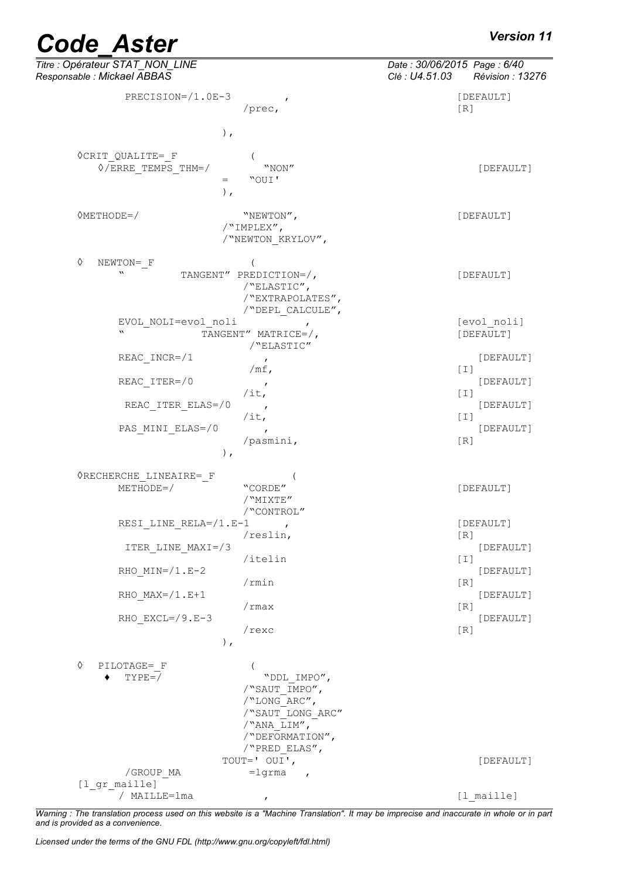| Titre : Opérateur STAT_NON_LINE<br>Responsable : Mickael ABBAS                     |                                                                                                                     | Date: 30/06/2015 Page: 6/40<br>Clé : U4.51.03 | Révision : 13276         |
|------------------------------------------------------------------------------------|---------------------------------------------------------------------------------------------------------------------|-----------------------------------------------|--------------------------|
| PRECISION=/1.0E-3                                                                  | /prec,                                                                                                              | [R]                                           | [DEFAULT]                |
| $)$ ,                                                                              |                                                                                                                     |                                               |                          |
| $\Diamond$ CRIT QUALITE=_F<br>$\Diamond$ /ERRE TEMPS THM=/<br>$=$<br>$)$ ,         | "NON"<br>"OUI'                                                                                                      |                                               | [DEFAULT]                |
| $\Diamond \text{METHODE} = /$<br>/"IMPLEX",                                        | "NEWTON",<br>/"NEWTON KRYLOV",                                                                                      |                                               | [DEFAULT]                |
| $\Diamond$<br>$NEWTON = F$<br>$\boldsymbol{\mathcal{M}}$<br>TANGENT" PREDICTION=/, | /"ELASTIC",<br>/"EXTRAPOLATES",<br>/"DEPL CALCULE",                                                                 |                                               | [DEFAULT]                |
| EVOL NOLI=evol noli<br>$\mathbf{v}$                                                | TANGENT" MATRICE=/,<br>/"ELASTIC"                                                                                   |                                               | [evol noli]<br>[DEFAULT] |
| REAC INCR=/1<br>REAC ITER=/0                                                       | $\mathbf{r}$<br>/ $mf$ ,<br>$\pmb{r}$                                                                               | [I]                                           | [DEFAULT]<br>[DEFAULT]   |
| REAC ITER ELAS=/0                                                                  | $/$ it,<br>$\mathbf{r}$<br>$/$ it,                                                                                  | [I]<br>$[1]$                                  | [DEFAULT]                |
| PAS MINI ELAS=/0<br>$)$ ,                                                          | $\mathbf{r}$<br>/pasmini,                                                                                           | [R]                                           | [DEFAULT]                |
| <b>ORECHERCHE LINEAIRE= F</b><br>$METHODE=$                                        | "CORDE"<br>/"MIXTE"<br>/<br>"CONTROL" $\hspace{-.08cm}\rule{-.08cm}{.01cm}\hspace{-.08cm}$                          |                                               | [DEFAULT]                |
| RESI LINE RELA= $/1.F-1$                                                           | /reslin,                                                                                                            | [R]                                           | [DEFAULT]                |
| ITER LINE MAXI=/3<br>RHO $MIN= / 1.E-2$                                            | /itelin                                                                                                             | $[1]$                                         | [DEFAULT]<br>[DEFAULT]   |
| RHO $MAX= / 1 . E + 1$                                                             | /rmin                                                                                                               | [R]                                           | [DEFAULT]                |
| RHO $EXCL= / 9.E-3$<br>$)$ ,                                                       | /rmax<br>/rexc                                                                                                      | [R]<br>[R]                                    | [DEFAULT]                |
| ♦<br>PILOTAGE= F<br>$\overline{ }$<br>$TYPE=$                                      | "DDL IMPO",<br>/"SAUT IMPO",<br>/"LONG ARC",<br>/"SAUT LONG ARC"<br>/"ANA LIM",<br>/"DEFORMATION",<br>/"PRED ELAS", |                                               |                          |
| /GROUP MA<br>[l gr maille]                                                         | TOUT=' OUI',<br>$=$ lgrma<br>$\overline{ }$                                                                         |                                               | [DEFAULT]                |
| ' MAILLE=lma                                                                       |                                                                                                                     |                                               | [1 maille]               |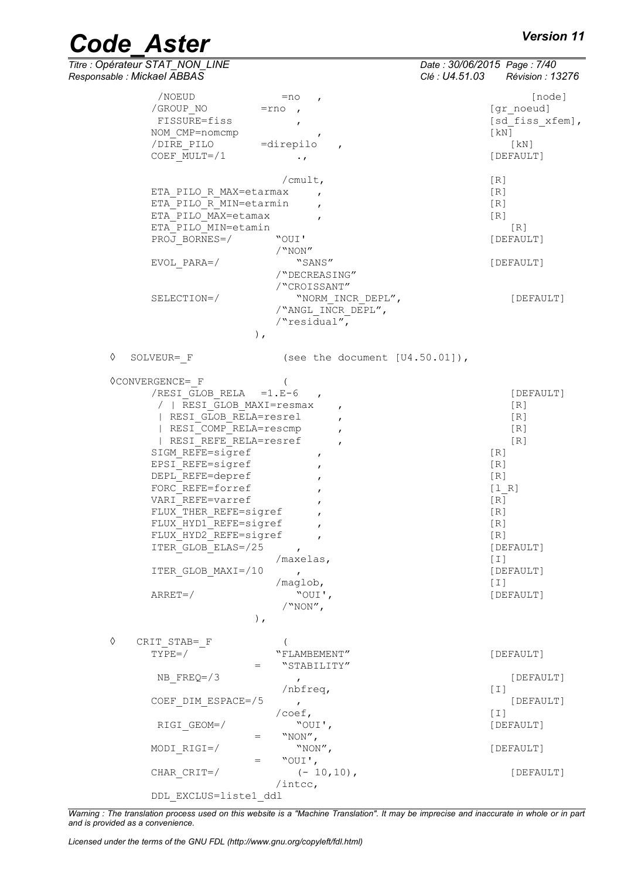| Titre : Opérateur STAT NON LINE | Date: 30/06/2015 Page: 7/40         |  |
|---------------------------------|-------------------------------------|--|
| Responsable : Mickael ABBAS     | Clé : U4.51.03         Révision : 1 |  |

| Responsable : Mickael ABBAS                          | Clé : U4.51.03<br>Révision : 13276 |
|------------------------------------------------------|------------------------------------|
| /NOEUD<br>$=$ no                                     | [node]                             |
| $\mathbf{r}$<br>/GROUP NO<br>$=$ rno                 | [gr noeud]                         |
|                                                      |                                    |
| FISSURE=fiss<br>$\mathbf{r}$                         | [sd fiss xfem],                    |
| NOM CMP=nomcmp<br>$\mathbf{r}$                       | [KN]                               |
| /DIRE_PILO<br>$=$ direpilo<br>$\mathbf{r}$           | [kN]                               |
| COEF MULT=/1<br>$\cdot$ $\prime$                     | [DEFAULT]                          |
| / $cmult,$                                           | [R]                                |
|                                                      | [R]                                |
| ETA_PILO_R_MAX=etarmax                               |                                    |
| ETA_PILO R MIN=etarmin                               | [R]                                |
| ETA PILO MAX=etamax                                  | [R]                                |
| ETA PILO MIN=etamin                                  | [R]                                |
| PROJ BORNES=/<br>"OUI'                               | [DEFAULT]                          |
| /"NON"                                               |                                    |
| $EVOL$ $PARA=$ /<br>"SANS"                           | [DEFAULT]                          |
| /"DECREASING"                                        |                                    |
| /"CROISSANT"                                         |                                    |
| SELECTION=/<br>"NORM INCR DEPL",                     | [DEFAULT]                          |
| /"ANGL INCR DEPL",                                   |                                    |
| /"residual",                                         |                                    |
| $\,$ ,                                               |                                    |
|                                                      |                                    |
| ♦<br>SOLVEUR= F<br>(see the document $[U4.50.01]$ ), |                                    |
| <b>OCONVERGENCE=</b> F                               |                                    |
| /RESI GLOB RELA $=1.E-6$                             | [DEFAULT]                          |
| /   RESI GLOB MAXI=resmax                            | [R]                                |
| $\mathbf{r}$<br>  RESI GLOB RELA=resrel              | [R]                                |
| $\mathbf{r}$                                         |                                    |
| RESI COMP RELA=rescmp                                | [R]                                |
| RESI REFE RELA=resref<br>$\mathbf{r}$                | [R]                                |
| SIGM REFE=sigref<br>$\mathbf{r}$                     | [R]                                |
| EPSI REFE=sigref<br>,                                | [R]                                |
| DEPL REFE=depref                                     | [R]                                |
| FORC REFE=forref                                     | [1 R]                              |
| VARI REFE=varref                                     | [R]                                |
| FLUX THER REFE=sigref                                | [R]                                |
| FLUX HYD1 REFE=sigref                                | [R]                                |
| FLUX HYD2 REFE=sigref<br>$\mathbf{r}$                | [R]                                |
| ITER GLOB ELAS=/25<br>$\mathbf{r}$                   | [DEFAULT]                          |
| /maxelas,                                            | $[1]$                              |
| ITER GLOB MAXI=/10<br>$\mathbf{r}$                   | [DEFAULT]                          |
| /maglob,                                             | $[1]$                              |
| "OUI',<br>$ARREF=$                                   | [DEFAULT]                          |
| $/$ "NON",                                           |                                    |
| $)$ ,                                                |                                    |
|                                                      |                                    |
| ♦<br>CRIT STAB= F                                    |                                    |
| $TYPE=$ /<br>"FLAMBEMENT"                            | [DEFAULT]                          |
| "STABILITY"<br>$=$                                   |                                    |
| NB $FREQ = / 3$<br>$\mathbf{r}$                      | [DEFAULT]                          |
| $/nbf$ req,                                          | $\lceil 1 \rceil$                  |
| COEF DIM ESPACE=/5<br>$\mathbf{r}$                   | [DEFAULT]                          |
| $/$ coef,                                            | [T]                                |
| "OUI',<br>RIGI GEOM=/                                | [DEFAULT]                          |
| "NON",<br>$=$                                        |                                    |
| "NON",<br>MODI RIGI=/                                | [DEFAULT]                          |
| "OUI',<br>$=$                                        |                                    |
| $(-10, 10)$ ,                                        | [DEFAULT]                          |
| CHAR CRIT=/<br>$/inter$ ,                            |                                    |
| DDL EXCLUS=liste1 ddl                                |                                    |
|                                                      |                                    |

*Warning : The translation process used on this website is a "Machine Translation". It may be imprecise and inaccurate in whole or in part and is provided as a convenience.*

*Licensed under the terms of the GNU FDL (http://www.gnu.org/copyleft/fdl.html)*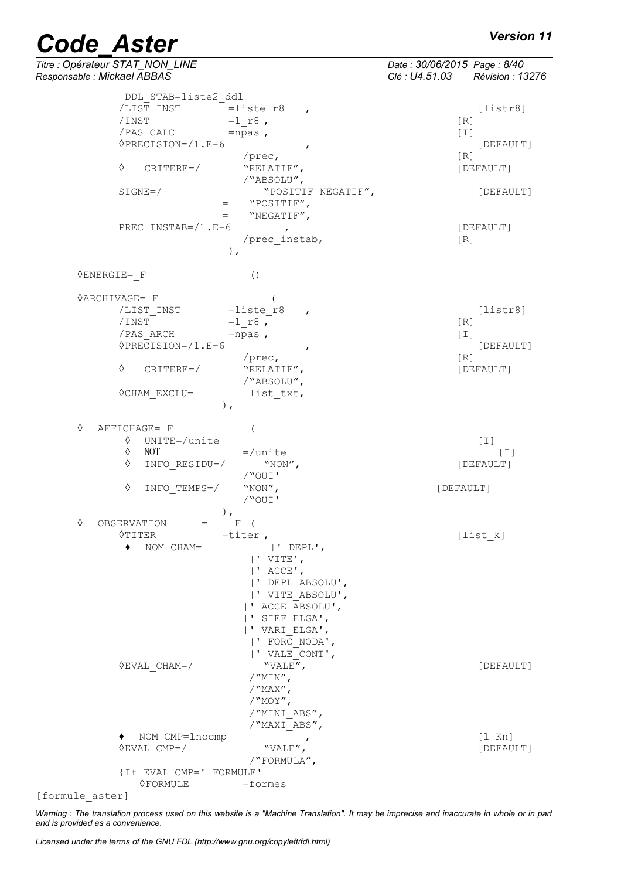|                             | <b>Code Aster</b>                       |                                  | <b>Version 11</b>                                              |
|-----------------------------|-----------------------------------------|----------------------------------|----------------------------------------------------------------|
| Responsable : Mickael ABBAS | Titre : Opérateur STAT_NON_LINE         |                                  | Date: 30/06/2015 Page: 8/40<br>Clé : U4.51.03 Révision : 13276 |
|                             | DDL STAB=liste2 ddl                     |                                  |                                                                |
|                             | /LIST INST                              | $=$ liste r8                     | [liststr8]                                                     |
|                             | /INST                                   | $\boldsymbol{r}$<br>$=1 r8$ ,    | [R]                                                            |
|                             | / PAS CALC                              | $=$ npas,                        | $\lceil 1 \rceil$                                              |
|                             | $\Diamond PRECISION= / 1.E-6$           | $\pmb{r}$                        | [DEFAULT]                                                      |
|                             |                                         | $/$ prec,                        | [R]                                                            |
|                             | ♦<br>$CRITERE=$                         | "RELATIF",                       | [DEFAULT]                                                      |
|                             |                                         | /"ABSOLU",                       |                                                                |
|                             | $SIGNE=$ /                              | "POSITIF_NEGATIF",               | [DEFAULT]                                                      |
|                             | $=$                                     | "POSITIF",                       |                                                                |
|                             | $=$                                     | "NEGATIF",                       |                                                                |
|                             | PREC INSTAB= $/1.E-6$                   | $\mathbf{r}$                     | [DEFAULT]                                                      |
|                             |                                         | /prec instab,<br>$)$ ,           | [R]                                                            |
|                             | $\Diamond$ ENERGIE= F                   | ( )                              |                                                                |
|                             | $\Diamond$ ARCHIVAGE= F                 |                                  |                                                                |
|                             | /LIST INST                              | $=$ liste r8<br>$\mathbf{r}$     | [liststr8]                                                     |
|                             | /INST                                   | $=1 r8$ ,                        | [R]                                                            |
|                             | /PAS ARCH                               | $=$ npas,                        | I                                                              |
|                             | $\Diamond PRECISION= / 1.E-6$           | $\mathbf{r}$                     | [DEFAULT]                                                      |
|                             |                                         | /prec,                           | [R]                                                            |
|                             | ♦<br>$CRITERE=$                         | "RELATIF",                       | [DEFAULT]                                                      |
|                             |                                         | /"ABSOLU",                       |                                                                |
|                             | <b>OCHAM EXCLU=</b><br>$)$ ,            | list txt,                        |                                                                |
| ♦                           | AFFICHAGE= F                            | $\overline{(}$                   |                                                                |
|                             | ♦<br>UNITE=/unite                       |                                  | [T]                                                            |
|                             | NOT<br>♦                                | $=$ /unite                       | $[1]$                                                          |
|                             | ♦<br>INFO RESIDU=/                      | "NON",                           | [DEFAULT]                                                      |
|                             |                                         | /"OUI'                           |                                                                |
|                             | ♦<br>INFO TEMPS=/                       | "NON",<br>/"OUI'                 | [DEFAULT]                                                      |
|                             | $\,$ ,                                  |                                  |                                                                |
| ♦                           | OBSERVATION<br>$=$                      | $F$ (                            |                                                                |
|                             | $\Diamond$ TITER                        | $=$ titer,                       | [list k]                                                       |
|                             | $\blacklozenge$ NOM CHAM=               | $ '$ DEPL',                      |                                                                |
|                             |                                         | $ $ ' VITE',                     |                                                                |
|                             |                                         | $ $ ' ACCE',<br> ' DEPL ABSOLU', |                                                                |
|                             |                                         | ' VITE ABSOLU',                  |                                                                |
|                             |                                         | ' ACCE ABSOLU',                  |                                                                |
|                             |                                         | ' SIEF ELGA',                    |                                                                |
|                             |                                         | ' VARI ELGA',                    |                                                                |
|                             |                                         | ' FORC NODA',                    |                                                                |
|                             |                                         | ' VALE CONT',                    |                                                                |
|                             | $\Diamond$ EVAL CHAM=/                  | "VALE",                          | [DEFAULT]                                                      |
|                             |                                         | $/$ "MIN",                       |                                                                |
|                             |                                         | $/$ "MAX",                       |                                                                |
|                             |                                         | /"MOY",                          |                                                                |
|                             |                                         | /"MINI ABS",                     |                                                                |
|                             |                                         | /"MAXI ABS",                     |                                                                |
|                             | NOM CMP=lnocmp<br>$\Diamond$ EVAL CMP=/ | ,<br>"VALE",                     | $[1$ Kn]<br>[DEFAULT]                                          |
|                             |                                         | /"FORMULA",                      |                                                                |
|                             | {If EVAL CMP=' FORMULE'                 |                                  |                                                                |
|                             | <b>OFORMULE</b>                         | =formes                          |                                                                |
|                             |                                         |                                  |                                                                |

[formule\_aster]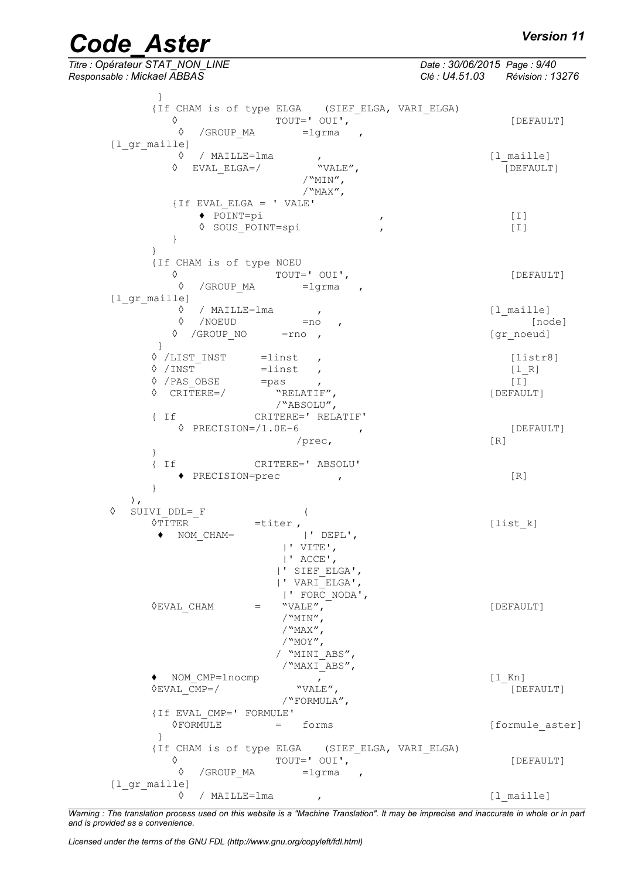*Titre : Opérateur STAT\_NON\_LINE Date : 30/06/2015 Page : 9/40 Responsable : Mickael ABBAS Clé : U4.51.03 Révision : 13276* } {If CHAM is of type ELGA (SIEF\_ELGA, VARI\_ELGA)  $\begin{array}{ccc}\n\Diamond & & \text{TOUT} = ' & \text{OUT} , \quad \begin{array}{ccc}\n\end{array} & & - & \text{[DEFAULT]} \\
\Diamond & / \text{GROUP MA} & = \text{I} \text{orma} & \Box\n\end{array}$ /GROUP MA =lgrma [1 gr maille] ◊ / MAILLE=lma , [l\_maille]  $\Diamond$  EVAL ELGA=/ "VALE",  $\Box$  [DEFAULT] /"MIN",  $/$ "MAX", {If EVAL\_ELGA = ' VALE' **♦** POINT=pi , [I] ◊ SOUS\_POINT=spi , [I] } } {If CHAM is of type NOEU ◊ TOUT=' OUI', [DEFAULT] ◊ /GROUP\_MA =lgrma , [l gr\_maille] ◊ / MAILLE=lma , [l\_maille]  $\sqrt{N}$  /NOEUD =no ,  $\sqrt{N}$  [node] ◊ /GROUP\_NO =rno , [gr\_noeud] } ◊ /LIST\_INST =linst , [listr8]  $\sqrt{N}$  /INST = linst ,  $[1_R]$ ↑ /PAS\_OBSE =pas ,<br>↑ CRITERE=/ "RELATIF", (DEFAULT)  $\sqrt{\text{CRTTERE}} = \sqrt{\frac{1}{2}}$ /"ABSOLU", { If CRITERE=' RELATIF' ◊ PRECISION=/1.0E-6 , [DEFAULT] /prec, [R] } { If CRITERE=' ABSOLU' **♦** PRECISION=prec , [R] } ), ◊ SUIVI\_DDL=\_F ( •titer ,<br>
| 'DEPL',<br>
| | DEPL',  $\bullet$  NOM CHAM= |' VITE', |' ACCE', |' SIEF\_ELGA', |' VARI\_ELGA', |' FORC\_NODA',  $\Diamond$ EVAL CHAM  $=$  "VALE", /"MIN",  $/$ "MAX",  $\sqrt{N}$ MOY", / "MINI\_ABS", /"MAXI\_ABS", **♦** NOM\_CMP=lnocmp , [l\_Kn]  $\Diamond$ EVAL CMP=/ "VALE",  $\qquad$  "VALE",  $[DEFAULT]$ /"FORMULA", {If EVAL\_CMP=' FORMULE' [formule aster]  $\lambda$ {If CHAM is of type ELGA (SIEF\_ELGA, VARI\_ELGA) ◊ TOUT=' OUI', [DEFAULT] ◊ /GROUP\_MA =lgrma , [l gr\_maille] ◊ / MAILLE=lma , [l\_maille]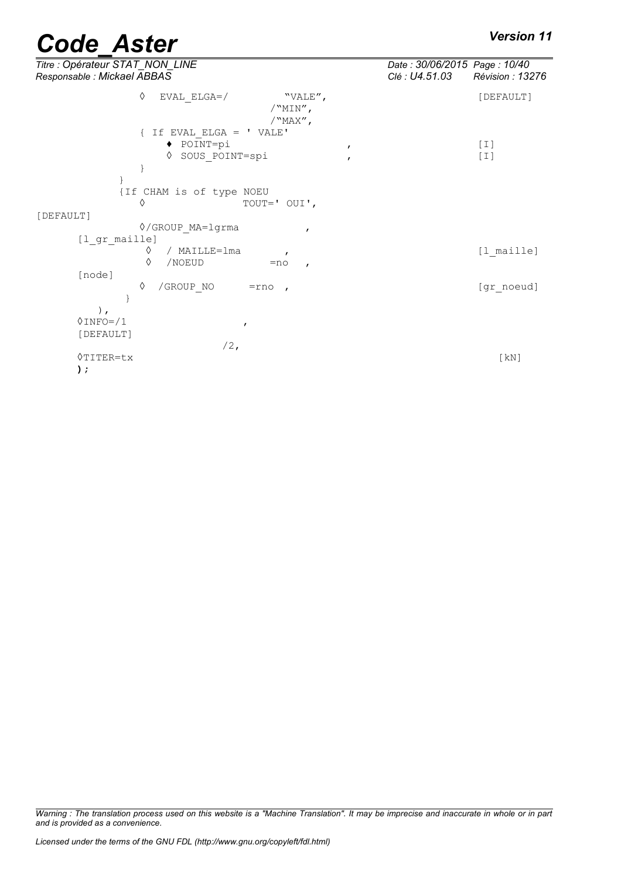| Titre : Opérateur STAT_NON_LINE<br>Responsable : Mickael ABBAS                                                                  | Date: 30/06/2015 Page: 10/40<br>Clé : U4.51.03<br>Révision : 13276 |
|---------------------------------------------------------------------------------------------------------------------------------|--------------------------------------------------------------------|
| ♦<br>$EVAL$ $ELGA=$ /<br>"VALE",<br>$/$ "MIN",<br>/"MAX",                                                                       | [DEFAULT]                                                          |
| $\{$ If EVAL ELGA = ' VALE'<br>$\blacklozenge$ POINT=pi<br>$\mathbf{r}$                                                         | $[1]$                                                              |
| SOUS POINT=spi<br>♦<br>$\mathbf{r}$                                                                                             | $[1]$                                                              |
| {If CHAM is of type NOEU<br>♦<br>TOUT=' OUI',                                                                                   |                                                                    |
| [DEFAULT]                                                                                                                       |                                                                    |
| ◊/GROUP MA=lgrma<br>$\mathbf{r}$<br>[1 gr maille]<br>/ MAILLE=1ma<br>♦<br>$\mathbf{r}$<br>♦<br>/NOEUD<br>$=$ no<br>$\mathbf{r}$ | [1 maille]                                                         |
| [node]<br>♦<br>/GROUP NO<br>$=$ rno,                                                                                            | [gr noeud]                                                         |
| $\,$ ,<br>$0$ INFO= $/1$<br>$\mathbf{r}$<br>[DEFAULT]                                                                           |                                                                    |
| $/2$ ,<br>$\Diamond$ TITER=tx<br>$)$ ;                                                                                          | $\lceil kN \rceil$                                                 |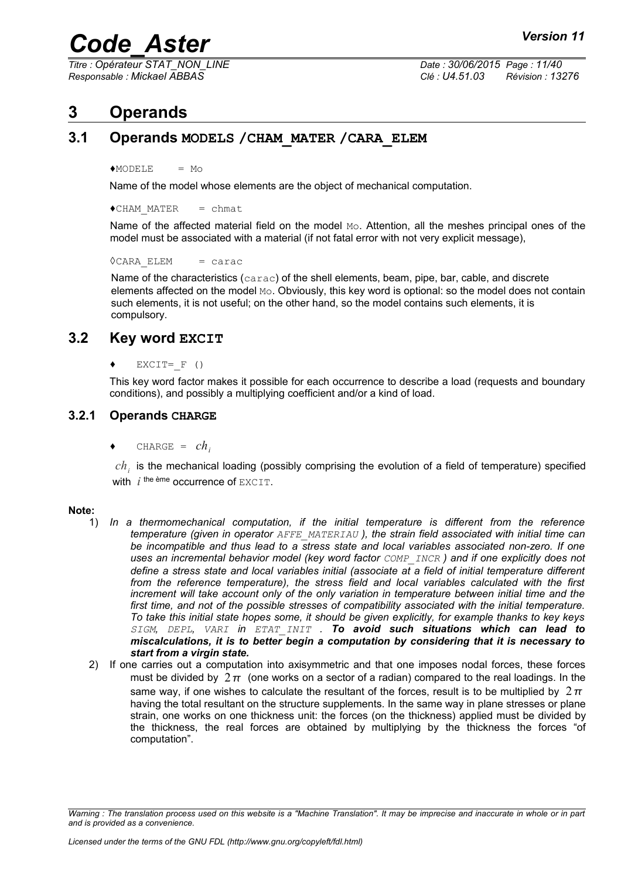*Titre : Opérateur STAT\_NON\_LINE Date : 30/06/2015 Page : 11/40*

*Responsable : Mickael ABBAS Clé : U4.51.03 Révision : 13276*

## <span id="page-10-3"></span>**3 Operands**

## **3.1 Operands MODELS /CHAM\_MATER /CARA\_ELEM**

<span id="page-10-2"></span> $*$ MODELE = Mo

Name of the model whose elements are the object of mechanical computation.

 $\triangle$ CHAM MATER = chmat

Name of the affected material field on the model  $M_{\odot}$ . Attention, all the meshes principal ones of the model must be associated with a material (if not fatal error with not very explicit message),

 $\Diamond$ CARA ELEM = carac

Name of the characteristics (carac) of the shell elements, beam, pipe, bar, cable, and discrete elements affected on the model Mo. Obviously, this key word is optional: so the model does not contain such elements, it is not useful; on the other hand, so the model contains such elements, it is compulsory.

### **3.2 Key word EXCIT**

<span id="page-10-1"></span> $EXCIT=F ( )$ 

<span id="page-10-0"></span>This key word factor makes it possible for each occurrence to describe a load (requests and boundary conditions), and possibly a multiplying coefficient and/or a kind of load.

### **3.2.1 Operands CHARGE**

 $CHARGE = ch$ 

 $ch<sub>i</sub>$  is the mechanical loading (possibly comprising the evolution of a field of temperature) specified with  $i$ <sup>the ème</sup> occurrence of  $\text{EXCIT}$ .

#### **Note:**

- 1) *In a thermomechanical computation, if the initial temperature is different from the reference temperature (given in operator AFFE\_MATERIAU ), the strain field associated with initial time can be incompatible and thus lead to a stress state and local variables associated non-zero. If one uses an incremental behavior model (key word factor COMP\_INCR ) and if one explicitly does not define a stress state and local variables initial (associate at a field of initial temperature different from the reference temperature), the stress field and local variables calculated with the first increment will take account only of the only variation in temperature between initial time and the first time, and not of the possible stresses of compatibility associated with the initial temperature. To take this initial state hopes some, it should be given explicitly, for example thanks to key keys SIGM, DEPL, VARI in ETAT\_INIT . To avoid such situations which can lead to miscalculations, it is to better begin a computation by considering that it is necessary to start from a virgin state.*
- 2) If one carries out a computation into axisymmetric and that one imposes nodal forces, these forces must be divided by  $2\pi$  (one works on a sector of a radian) compared to the real loadings. In the same way, if one wishes to calculate the resultant of the forces, result is to be multiplied by  $2\pi$ having the total resultant on the structure supplements. In the same way in plane stresses or plane strain, one works on one thickness unit: the forces (on the thickness) applied must be divided by the thickness, the real forces are obtained by multiplying by the thickness the forces "of computation".

*Warning : The translation process used on this website is a "Machine Translation". It may be imprecise and inaccurate in whole or in part and is provided as a convenience.*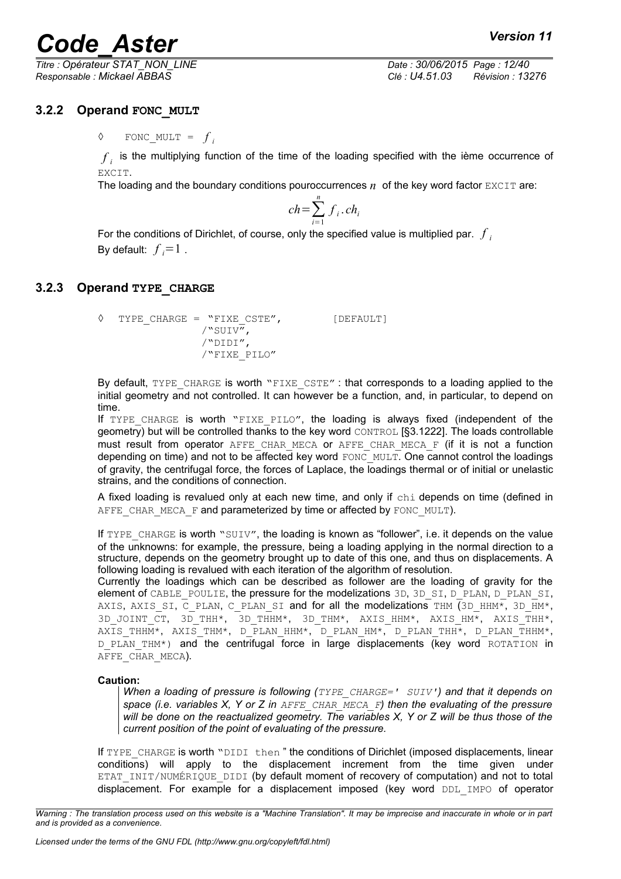*Responsable : Mickael ABBAS Clé : U4.51.03 Révision : 13276*

*Titre : Opérateur STAT\_NON\_LINE Date : 30/06/2015 Page : 12/40*

### **3.2.2 Operand FONC\_MULT**

<span id="page-11-1"></span> $\Diamond$  FONC\_MULT =  $f_i$ 

 $f_{\hat{i}}$  is the multiplying function of the time of the loading specified with the ième occurrence of EXCIT.

The loading and the boundary conditions pouroccurrences  $n$  of the key word factor EXCIT are:

$$
ch = \sum_{i=1}^{n} f_i \cdot ch_i
$$

For the conditions of Dirichlet, of course, only the specified value is multiplied par. *f i* By default:  $f_i = 1$ .

#### **3.2.3 Operand TYPE\_CHARGE**

```
◊ TYPE_CHARGE = "FIXE_CSTE", [DEFAULT]
```
/"SUIV", /"DIDI", /"FIXE\_PILO"

By default, TYPE CHARGE is worth "FIXE CSTE" : that corresponds to a loading applied to the initial geometry and not controlled. It can however be a function, and, in particular, to depend on time.

If TYPE CHARGE is worth "FIXE PILO", the loading is always fixed (independent of the geometry) but will be controlled thanks to the key word CONTROL [§3.1[222\]](#page-21-1). The loads controllable must result from operator AFFE\_CHAR\_MECA or AFFE\_CHAR\_MECA\_F (if it is not a function depending on time) and not to be affected key word  $\overline{FONC}$  MULT. One cannot control the loadings of gravity, the centrifugal force, the forces of Laplace, the loadings thermal or of initial or unelastic strains, and the conditions of connection.

A fixed loading is revalued only at each new time, and only if chi depends on time (defined in AFFE\_CHAR\_MECA\_F and parameterized by time or affected by FONC\_MULT).

If TYPE CHARGE is worth "SUIV", the loading is known as "follower", i.e. it depends on the value of the unknowns: for example, the pressure, being a loading applying in the normal direction to a structure, depends on the geometry brought up to date of this one, and thus on displacements. A following loading is revalued with each iteration of the algorithm of resolution.

Currently the loadings which can be described as follower are the loading of gravity for the element of CABLE\_POULIE, the pressure for the modelizations 3D, 3D\_SI, D\_PLAN, D\_PLAN\_SI, AXIS, AXIS SI, C\_PLAN, C\_PLAN\_SI and for all the modelizations THM (3D\_HHM\*, 3D\_HM\*, 3D\_JOINT\_CT, 3D\_THH\*, 3D\_THHM\*, 3D\_THM\*, AXIS\_HHM\*, AXIS\_HM\*, AXIS\_THH\*, AXIS THHM\*, AXIS THM\*, D\_PLAN\_HHM\*, D\_PLAN\_HM\*, D\_PLAN\_THAM\*, D\_PLAN\_THHM\*, D PLAN THM\*) and the centrifugal force in large displacements (key word ROTATION in AFFE\_CHAR\_MECA).

#### **Caution:**

*When a loading of pressure is following (TYPE\_CHARGE=' SUIV') and that it depends on space (i.e. variables X, Y or Z in AFFE\_CHAR\_MECA\_F) then the evaluating of the pressure will be done on the reactualized geometry. The variables X, Y or Z will be thus those of the current position of the point of evaluating of the pressure.*

If TYPE CHARGE is worth "DIDI then" the conditions of Dirichlet (imposed displacements, linear conditions) will apply to the displacement increment from the time given under ETAT\_INIT/NUMÉRIQUE\_DIDI (by default moment of recovery of computation) and not to total displacement. For example for a displacement imposed (key word DDL IMPO of operator

*Warning : The translation process used on this website is a "Machine Translation". It may be imprecise and inaccurate in whole or in part and is provided as a convenience.*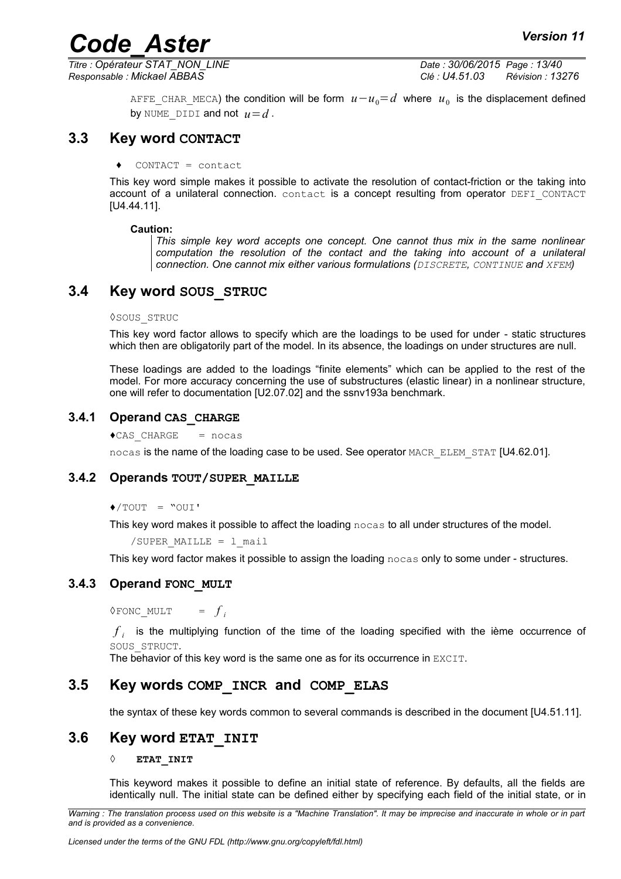*Titre : Opérateur STAT\_NON\_LINE Date : 30/06/2015 Page : 13/40 Responsable : Mickael ABBAS Clé : U4.51.03 Révision : 13276*

> <code>AFFE\_CHAR\_MECA</code>) the condition will be form  $\,u\!-\!u_{0}\!=\!d\,$  where  $\,u_{\,0}\,$  is the displacement defined by NUME DIDI and not  $u=d$ .

### **3.3 Key word CONTACT**

<span id="page-12-6"></span>**♦** CONTACT = contact

This key word simple makes it possible to activate the resolution of contact-friction or the taking into account of a unilateral connection. contact is a concept resulting from operator DEFI\_CONTACT [U4.44.11].

#### **Caution:**

*This simple key word accepts one concept. One cannot thus mix in the same nonlinear computation the resolution of the contact and the taking into account of a unilateral connection. One cannot mix either various formulations (DISCRETE, CONTINUE and XFEM)*

### **3.4 Key word SOUS\_STRUC**

#### <span id="page-12-5"></span>◊SOUS\_STRUC

This key word factor allows to specify which are the loadings to be used for under - static structures which then are obligatorily part of the model. In its absence, the loadings on under structures are null.

These loadings are added to the loadings "finite elements" which can be applied to the rest of the model. For more accuracy concerning the use of substructures (elastic linear) in a nonlinear structure, one will refer to documentation [U2.07.02] and the ssnv193a benchmark.

#### **3.4.1 Operand CAS\_CHARGE**

<span id="page-12-4"></span> $\triangle$ CAS CHARGE = nocas

<span id="page-12-3"></span>nocas is the name of the loading case to be used. See operator MACR\_ELEM\_STAT [U4.62.01].

#### **3.4.2 Operands TOUT/SUPER\_MAILLE**

 $\triangle$ /TOUT = "OUI'

This key word makes it possible to affect the loading nocas to all under structures of the model.

/SUPER MAILLE =  $1$  mail

<span id="page-12-2"></span>This key word factor makes it possible to assign the loading nocas only to some under - structures.

#### **3.4.3 Operand FONC\_MULT**

◊FONC\_MULT = *f*  $=$   $f_i$ 

 $f_{\hat{i}}$  is the multiplying function of the time of the loading specified with the ième occurrence of SOUS\_STRUCT.

<span id="page-12-1"></span>The behavior of this key word is the same one as for its occurrence in EXCIT.

### **3.5 Key words COMP\_INCR and COMP\_ELAS**

<span id="page-12-0"></span>the syntax of these key words common to several commands is described in the document [U4.51.11].

### **3.6 Key word ETAT\_INIT**

#### **◊ ETAT\_INIT**

This keyword makes it possible to define an initial state of reference. By defaults, all the fields are identically null. The initial state can be defined either by specifying each field of the initial state, or in

*Warning : The translation process used on this website is a "Machine Translation". It may be imprecise and inaccurate in whole or in part and is provided as a convenience.*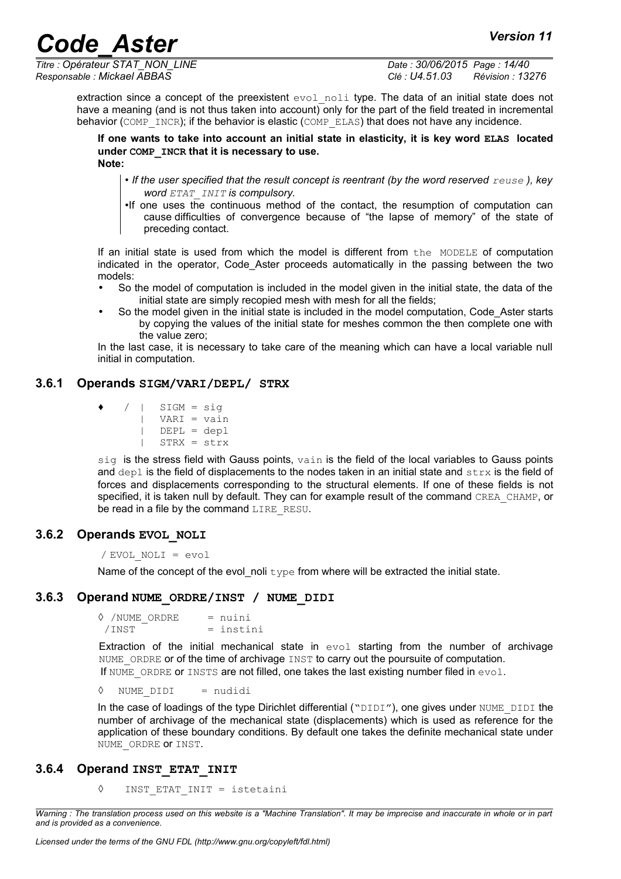*Titre : Opérateur STAT\_NON\_LINE Date : 30/06/2015 Page : 14/40 Responsable : Mickael ABBAS Clé : U4.51.03 Révision : 13276*

extraction since a concept of the preexistent evol noli type. The data of an initial state does not have a meaning (and is not thus taken into account) only for the part of the field treated in incremental behavior (COMP\_INCR); if the behavior is elastic (COMP\_ELAS) that does not have any incidence.

**If one wants to take into account an initial state in elasticity, it is key word ELAS located under COMP\_INCR that it is necessary to use. Note:**

- If the user specified that the result concept is reentrant (by the word reserved  $_{reuse}$ ), key *word ETAT\_INIT is compulsory.*
- •If one uses the continuous method of the contact, the resumption of computation can cause difficulties of convergence because of "the lapse of memory" of the state of preceding contact.

If an initial state is used from which the model is different from the MODELE of computation indicated in the operator, Code\_Aster proceeds automatically in the passing between the two models:

- So the model of computation is included in the model given in the initial state, the data of the initial state are simply recopied mesh with mesh for all the fields;
- So the model given in the initial state is included in the model computation, Code Aster starts by copying the values of the initial state for meshes common the then complete one with the value zero;

In the last case, it is necessary to take care of the meaning which can have a local variable null initial in computation.

## **3.6.1 Operands SIGM/VARI/DEPL/ STRX**

- <span id="page-13-3"></span>**♦** / | SIGM = sig
	- | VARI = vain | DEPL = depl
		- | STRX = strx

 $sig$  is the stress field with Gauss points,  $vain$  is the field of the local variables to Gauss points and  $dep1$  is the field of displacements to the nodes taken in an initial state and  $strx$  is the field of forces and displacements corresponding to the structural elements. If one of these fields is not specified, it is taken null by default. They can for example result of the command CREA\_CHAMP, or be read in a file by the command LIRE\_RESU.

## **3.6.2 Operands EVOL\_NOLI**

<span id="page-13-2"></span>/ EVOL\_NOLI = evol

Name of the concept of the evol noli type from where will be extracted the initial state.

## **3.6.3 Operand NUME\_ORDRE/INST / NUME\_DIDI**

<span id="page-13-1"></span>**◊** /NUME\_ORDRE = nuini  $/$ INST = instini

Extraction of the initial mechanical state in  $evol$  starting from the number of archivage NUME ORDRE or of the time of archivage INST to carry out the poursuite of computation. If NUME ORDRE OF INSTS are not filled, one takes the last existing number filed in  $evol$ .

◊ NUME\_DIDI = nudidi

In the case of loadings of the type Dirichlet differential ("DIDI"), one gives under NUME\_DIDI the number of archivage of the mechanical state (displacements) which is used as reference for the application of these boundary conditions. By default one takes the definite mechanical state under NUME ORDRE OF INST.

## **3.6.4 Operand INST\_ETAT\_INIT**

<span id="page-13-0"></span>**◊** INST\_ETAT\_INIT = istetaini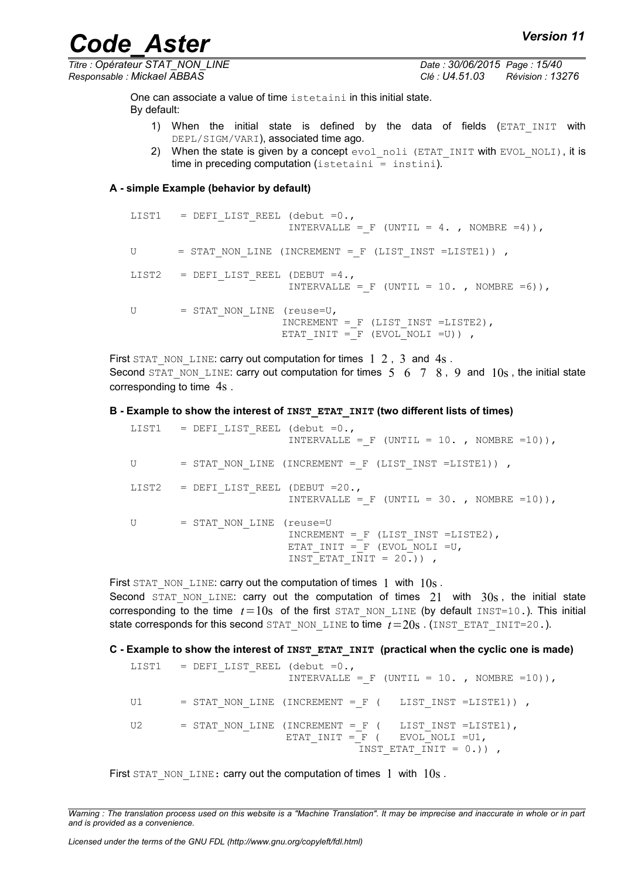*Code\_Aster Version 11 Titre : Opérateur STAT\_NON\_LINE Date : 30/06/2015 Page : 15/40*

*Responsable : Mickael ABBAS Clé : U4.51.03 Révision : 13276*

One can associate a value of time istetaini in this initial state. By default:

- 1) When the initial state is defined by the data of fields (ETAT INIT with DEPL/SIGM/VARI), associated time ago.
- 2) When the state is given by a concept  $evolnoli$  (ETAT INIT with EVOL NOLI), it is  $time in preceding computation (istetaini = instit.$

#### **A - simple Example (behavior by default)**

```
LIST1 = DEFI LIST REEL (debut =0.,
                        INTERVALLE = F (UNTIL = 4. , NOMBRE =4)),
U = STAT_NON_LINE (INCREMENT = F (LIST_INST =LISTE1)) ,
LIST2 = DEFI_LIST_REEL (DEBUT =4.,
                        INTERVALLE = F (UNTIL = 10. , NOMBRE =6)),
U = STAT_NON_LINE (reuse=U,
                       INCREMENT = F (LIST INST =LISTE2),
                       ETAT INIT = F (EVOL NOLI =U)) ,
```
First STAT\_NON\_LINE: carry out computation for times  $1\,2$ , 3 and  $4s$ . Second STAT\_NON\_LINE: carry out computation for times  $5\quad 6\quad 7\quad 8$ , 9 and  $10s$ , the initial state corresponding to time 4s .

#### **B - Example to show the interest of INST\_ETAT\_INIT (two different lists of times)**

LIST1 = DEFI LIST REEL (debut =0., INTERVALLE = F (UNTIL = 10. , NOMBRE =10)),  $U = STAT NON LINE (INCREMENT = F (LIST INST = LISTE1))$  , LIST2 = DEFI\_LIST\_REEL (DEBUT =20., INTERVALLE = F (UNTIL = 30. , NOMBRE =10)), U = STAT\_NON\_LINE (reuse=U INCREMENT = F (LIST INST =LISTE2), ETAT INIT =  $F$  (EVOL\_NOLI =U, INST ETAT  $INT = 20.$ )),

First STAT\_NON\_LINE: carry out the computation of times  $1$  with  $10s$ . Second  $STAT$  NON LINE: carry out the computation of times  $21$  with  $30s$ , the initial state corresponding to the time  $t=10s$  of the first STAT\_NON\_LINE (by default INST=10.). This initial state corresponds for this second STAT\_NON\_LINE to time  $t=20s$  . (INST\_ETAT\_INIT=20.).

#### **C - Example to show the interest of INST\_ETAT\_INIT (practical when the cyclic one is made)**

```
LIST1 = DEFI LIST REEL (debut =0.,
                      INTERVALLE = F (UNTIL = 10. , NOMBRE =10)),
U1 = STAT_NON_LINE (INCREMENT = F ( LIST_INST =LISTE1)) ,
U2 = STAT_NON_LINE (INCREMENT = F ( LIST_INST =LISTE1),
                 ETAT\_INIT = _F ( EVOL_NOLI = U1,
                                INT = 0.) ,
```
First STAT\_NON\_LINE: carry out the computation of times 1 with  $10s$ .

*Warning : The translation process used on this website is a "Machine Translation". It may be imprecise and inaccurate in whole or in part and is provided as a convenience.*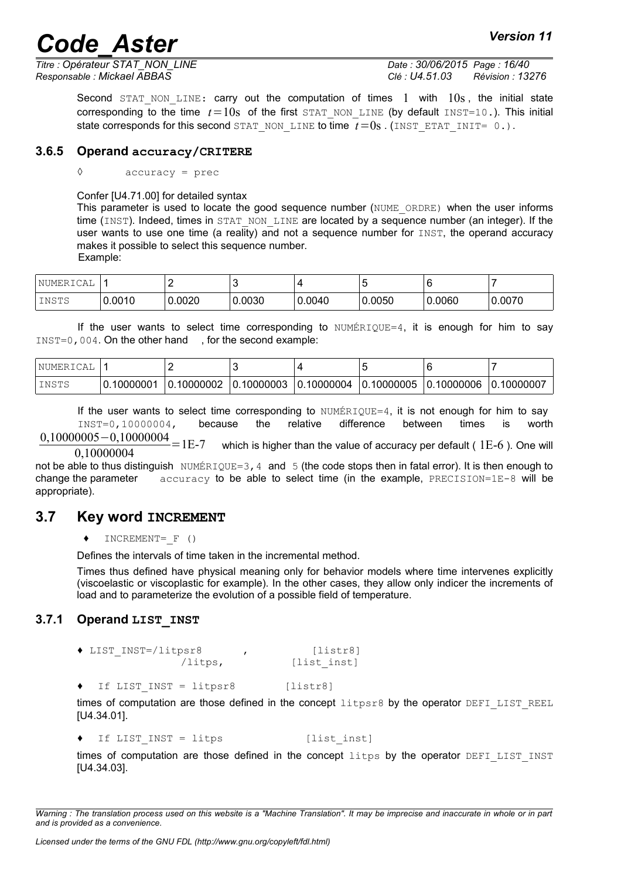## **Code Aster** *Aster* **Code Aster**

*Titre : Opérateur STAT\_NON\_LINE Date : 30/06/2015 Page : 16/40 Responsable : Mickael ABBAS Clé : U4.51.03 Révision : 13276*

Second STAT NON LINE: carry out the computation of times 1 with  $10s$ , the initial state corresponding to the time  $t=10s$  of the first STAT NON LINE (by default INST=10.). This initial state corresponds for this second STAT\_NON\_LINE to time  $\overline{t}=0s$ . (INST\_ETAT\_INIT= 0.).

#### **3.6.5 Operand accuracy/CRITERE**

<span id="page-15-2"></span>**◊** accuracy = prec

Confer [U4.71.00] for detailed syntax

This parameter is used to locate the good sequence number (NUME\_ORDRE) when the user informs time (INST). Indeed, times in STAT\_NON\_LINE are located by a sequence number (an integer). If the user wants to use one time (a reality) and not a sequence number for  $I\text{NST}$ , the operand accuracy makes it possible to select this sequence number. Example:

| 'NUMERICAL |        |        |        |        |        |        |        |
|------------|--------|--------|--------|--------|--------|--------|--------|
| INSTS      | 0.0010 | 0.0020 | 0.0030 | 0.0040 | 0.0050 | 0.0060 | 0.0070 |

If the user wants to select time corresponding to  $NUMÉRIOUE=4$ , it is enough for him to say INST=0,004. On the other hand , for the second example:

| 'NUMERI<br>CAL |                   |               |           |                           |                 |                             |          |
|----------------|-------------------|---------------|-----------|---------------------------|-----------------|-----------------------------|----------|
| INSTS          | 10000001.<br>ີ 0. | 10000002<br>0 | .10000003 | .10000004<br>$\mathbf{0}$ | .10000005<br>0. | .10000006<br>$^{\prime}$ 0. | 10000007 |

If the user wants to select time corresponding to  $NUMÉRIQUE=4$ , it is not enough for him to say INST=0,10000004, because the relative difference between times is worth

 $0,10000005-0,10000004$  = 1E-7 0,10000004 which is higher than the value of accuracy per default (  $1E-6$  ). One will

not be able to thus distinguish NUMÉRIQUE=3, 4 and 5 (the code stops then in fatal error). It is then enough to change the parameter  $\alpha$  accuracy to be able to select time (in the example, PRECISION=1E-8 will be appropriate).

#### **3.7 Key word INCREMENT**

<span id="page-15-1"></span>**♦** INCREMENT=\_F ()

Defines the intervals of time taken in the incremental method.

Times thus defined have physical meaning only for behavior models where time intervenes explicitly (viscoelastic or viscoplastic for example). In the other cases, they allow only indicer the increments of load and to parameterize the evolution of a possible field of temperature.

#### **3.7.1 Operand LIST\_INST**

<span id="page-15-0"></span>**♦** LIST\_INST=/litpsr8 , [listr8] /litps, [list inst]

**♦** If LIST\_INST = litpsr8 [listr8]

times of computation are those defined in the concept  $litysr8$  by the operator DEFI\_LIST\_REEL [U4.34.01].

**♦** If LIST\_INST = litps [list\_inst]

times of computation are those defined in the concept litps by the operator DEFILIST INST [U4.34.03].

*Warning : The translation process used on this website is a "Machine Translation". It may be imprecise and inaccurate in whole or in part and is provided as a convenience.*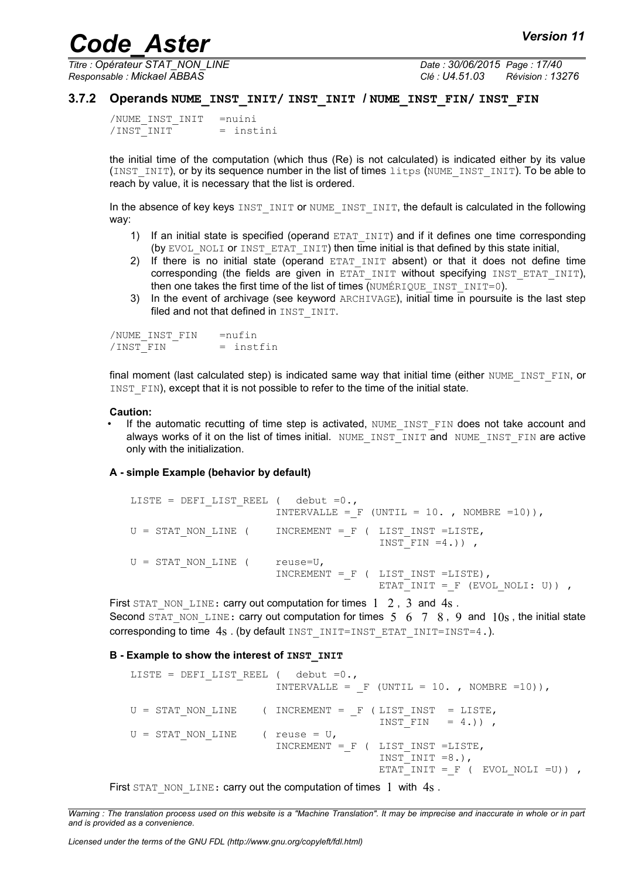*Titre : Opérateur STAT\_NON\_LINE Date : 30/06/2015 Page : 17/40 Responsable : Mickael ABBAS Clé : U4.51.03 Révision : 13276*

#### **3.7.2 Operands NUME\_INST\_INIT/ INST\_INIT / NUME\_INST\_FIN/ INST\_FIN**

<span id="page-16-0"></span>/NUME\_INST\_INIT =nuini  $/INT$  = instini

the initial time of the computation (which thus (Re) is not calculated) is indicated either by its value (INST\_INIT), or by its sequence number in the list of times litps (NUME\_INST\_INIT). To be able to reach by value, it is necessary that the list is ordered.

In the absence of key keys INST\_INIT or NUME\_INST\_INIT, the default is calculated in the following way:

- 1) If an initial state is specified (operand ETAT INIT) and if it defines one time corresponding (by EVOL NOLI or INST ETAT INIT) then time initial is that defined by this state initial,
- 2) If there is no initial state (operand ETAT INIT absent) or that it does not define time corresponding (the fields are given in  $ETAT$  INIT without specifying INST ETAT INIT), then one takes the first time of the list of times  $\overline{(NUMÉRIQUEINSTINT=0)}$ .
- 3) In the event of archivage (see keyword ARCHIVAGE), initial time in poursuite is the last step filed and not that defined in INST INIT.

/NUME\_INST\_FIN =nufin  $/~~INST FIN~~ = instfin$ 

final moment (last calculated step) is indicated same way that initial time (either NUME\_INST\_FIN, or INST FIN), except that it is not possible to refer to the time of the initial state.

#### **Caution:**

If the automatic recutting of time step is activated, NUME INST FIN does not take account and always works of it on the list of times initial. NUME INST INIT and NUME INST FIN are active only with the initialization.

#### **A - simple Example (behavior by default)**

```
LISTE = DEFI_LIST_REEL ( debut =0.,
                      INTERVALLE = F (UNTIL = 10. , NOMBRE =10)),
U = STAT NON LINE ( INCREMENT = F ( LIST INST =LISTE,
                                       INT FIN =4.)),
U = STAT NON LINE ( reuse=U,
                      INCREMENT = F ( LIST INST =LISTE),
                                       ETAT INIT = F (EVOL NOLI: U)) ,
```
First STAT\_NON\_LINE: carry out computation for times  $1 \quad 2$ , 3 and  $4s$ . Second STAT\_NON\_LINE: carry out computation for times  $5 \t 6 \t 7 \t 8$ , 9 and  $10s$ , the initial state corresponding to time  $4s$ . (by default INST\_INIT=INST\_ETAT\_INIT=INST=4.).

#### **B - Example to show the interest of INST\_INIT**

```
LISTE = DEFI LIST REEL ( debut =0.,
                      INTERVALLE = F (UNTIL = 10., NOMBRE =10)),
U = STAT NON LINE (INCREMENT = F (LIST INST = LISTE,
                                      INST FIN = 4.)),
U = STAT NON LINE ( reuse = U,
                      INCREMENT = F ( LIST INST =LISTE,
                                      INST INIT =8.),
                                      ETAT INIT = F ( EVOL NOLI =U)) ,
```
First STAT\_NON\_LINE: carry out the computation of times 1 with  $4s$ .

*Warning : The translation process used on this website is a "Machine Translation". It may be imprecise and inaccurate in whole or in part and is provided as a convenience.*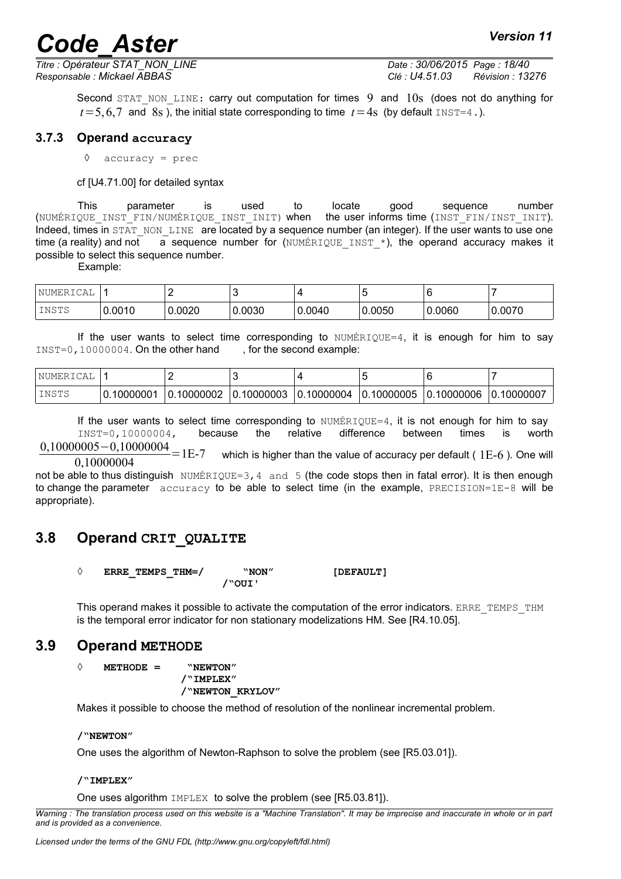*Titre : Opérateur STAT\_NON\_LINE Date : 30/06/2015 Page : 18/40*

*Responsable : Mickael ABBAS Clé : U4.51.03 Révision : 13276*

Second STAT\_NON\_LINE: carry out computation for times  $9$  and  $10s$  (does not do anything for  $t=5,6,7$  and 8s), the initial state corresponding to time  $t=4s$  (by default INST=4.).

#### **3.7.3 Operand accuracy**

<span id="page-17-2"></span>**◊** accuracy = prec

cf [U4.71.00] for detailed syntax

This parameter is used to locate good sequence number (NUMÉRIQUE\_INST\_FIN/NUMÉRIQUE\_INST\_INIT) when the user informs time (INST\_FIN/INST\_INIT). Indeed, times in STAT\_NON\_LINE are located by a sequence number (an integer). If the user wants to use one time (a reality) and not a sequence number for (NUMÉRIQUE INST  $*$ ), the operand accuracy makes it possible to select this sequence number.

Example:

| NUMERICAL |        |        |        |        | ∼      |        |        |
|-----------|--------|--------|--------|--------|--------|--------|--------|
| INSTS     | 0.0010 | 0.0020 | 0.0030 | 0.0040 | 0.0050 | 0.0060 | 0.0070 |

If the user wants to select time corresponding to  $N$ UMÉRIQUE=4, it is enough for him to say INST=0,10000004. On the other hand , for the second example:

| 'NUMERI<br>'Δ. |           |                       |           |                 |                 |                           |                 |
|----------------|-----------|-----------------------|-----------|-----------------|-----------------|---------------------------|-----------------|
| INSTS          | .10000001 | .10000002<br>$\Omega$ | .10000003 | .10000004<br>0. | .10000005<br>0. | .10000006<br><sup>0</sup> | ' 0.<br>1000000 |

If the user wants to select time corresponding to  $N$   $N$  $N$  $E$ <sub> $R$  $Q$  $E$  $=$  4, it is not enough for him to say</sub> INST=0,10000004, because the relative difference between times is worth  $0,10000005-0,10000004$  = 1E-7

0,10000004 which is higher than the value of accuracy per default (  $1E-6$  ). One will

not be able to thus distinguish NUMÉRIQUE=3, 4 and 5 (the code stops then in fatal error). It is then enough to change the parameter accuracy to be able to select time (in the example, PRECISION=1E-8 will be appropriate).

## **3.8 Operand CRIT\_QUALITE**

<span id="page-17-1"></span>

|        | ERRE TEMPS THM=/ | "NON" | [DEFAULT] |  |  |
|--------|------------------|-------|-----------|--|--|
| /"OUI' |                  |       |           |  |  |

This operand makes it possible to activate the computation of the error indicators. ERRE\_TEMPS\_THM is the temporal error indicator for non stationary modelizations HM. See [R4.10.05].

### **3.9 Operand METHODE**

<span id="page-17-0"></span>**◊ METHODE = "NEWTON"** 

**/"IMPLEX" /"NEWTON\_KRYLOV"** 

Makes it possible to choose the method of resolution of the nonlinear incremental problem.

#### **/"NEWTON"**

One uses the algorithm of Newton-Raphson to solve the problem (see [R5.03.01]).

#### **/"IMPLEX"**

One uses algorithm IMPLEX to solve the problem (see [R5.03.81]).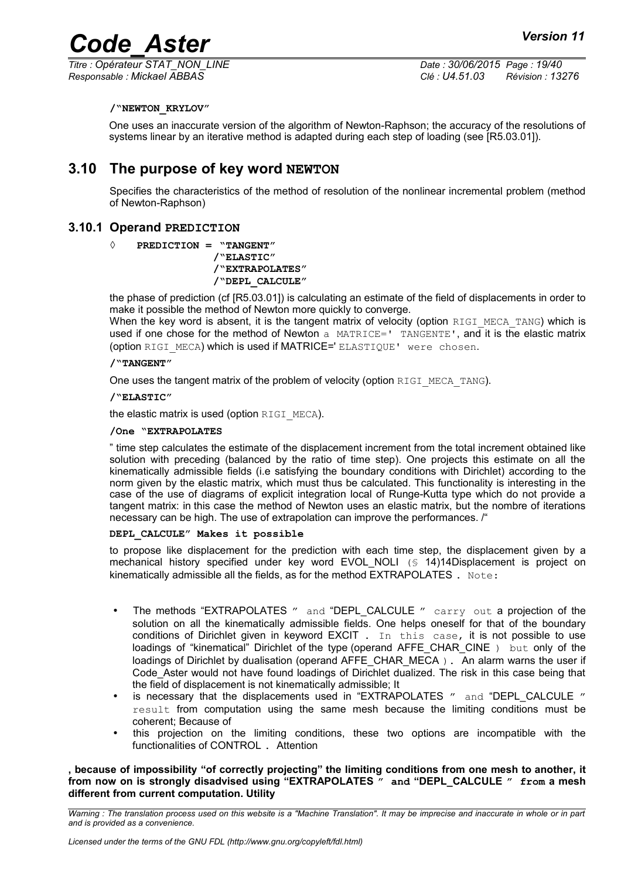*Responsable : Mickael ABBAS Clé : U4.51.03 Révision : 13276*

*Titre : Opérateur STAT\_NON\_LINE Date : 30/06/2015 Page : 19/40*

#### **/"NEWTON\_KRYLOV"**

One uses an inaccurate version of the algorithm of Newton-Raphson; the accuracy of the resolutions of systems linear by an iterative method is adapted during each step of loading (see [R5.03.01]).

## **3.10 The purpose of key word NEWTON**

<span id="page-18-1"></span>Specifies the characteristics of the method of resolution of the nonlinear incremental problem (method of Newton-Raphson)

### **3.10.1 Operand PREDICTION**

<span id="page-18-0"></span>**◊ PREDICTION = "TANGENT"** 

**/"ELASTIC"**

#### **/"EXTRAPOLATES" /"DEPL\_CALCULE"**

the phase of prediction (cf [R5.03.01]) is calculating an estimate of the field of displacements in order to make it possible the method of Newton more quickly to converge.

When the key word is absent, it is the tangent matrix of velocity (option RIGI\_MECA\_TANG) which is used if one chose for the method of Newton a MATRICE=' TANGENTE', and it is the elastic matrix (option RIGI\_MECA) which is used if MATRICE=' ELASTIQUE' were chosen.

#### **/"TANGENT"**

One uses the tangent matrix of the problem of velocity (option RIGI\_MECA\_TANG).

#### **/"ELASTIC"**

the elastic matrix is used (option RIGI\_MECA).

#### **/One "EXTRAPOLATES**

" time step calculates the estimate of the displacement increment from the total increment obtained like solution with preceding (balanced by the ratio of time step). One projects this estimate on all the kinematically admissible fields (i.e satisfying the boundary conditions with Dirichlet) according to the norm given by the elastic matrix, which must thus be calculated. This functionality is interesting in the case of the use of diagrams of explicit integration local of Runge-Kutta type which do not provide a tangent matrix: in this case the method of Newton uses an elastic matrix, but the nombre of iterations necessary can be high. The use of extrapolation can improve the performances. /"

#### **DEPL\_CALCULE" Makes it possible**

to propose like displacement for the prediction with each time step, the displacement given by a mechanical history specified under key word EVOL NOLI (§ 14[\)14D](#page-13-2)isplacement is project on kinematically admissible all the fields, as for the method  $EXTRAPOLATES$ . Note:

- The methods "EXTRAPOLATES " and "DEPL CALCULE " carry out a projection of the solution on all the kinematically admissible fields. One helps oneself for that of the boundary conditions of Dirichlet given in keyword  $EXCIT$ . In this case, it is not possible to use loadings of "kinematical" Dirichlet of the type (operand AFFE CHAR CINE ) but only of the loadings of Dirichlet by dualisation (operand AFFE\_CHAR\_MECA). An alarm warns the user if Code Aster would not have found loadings of Dirichlet dualized. The risk in this case being that the field of displacement is not kinematically admissible; It
- is necessary that the displacements used in "EXTRAPOLATES " and "DEPL CALCULE " result from computation using the same mesh because the limiting conditions must be coherent; Because of
- this projection on the limiting conditions, these two options are incompatible with the functionalities of CONTROL . Attention

#### **, because of impossibility "of correctly projecting" the limiting conditions from one mesh to another, it from now on is strongly disadvised using "EXTRAPOLATES " and "DEPL\_CALCULE " from a mesh different from current computation. Utility**

*Warning : The translation process used on this website is a "Machine Translation". It may be imprecise and inaccurate in whole or in part and is provided as a convenience.*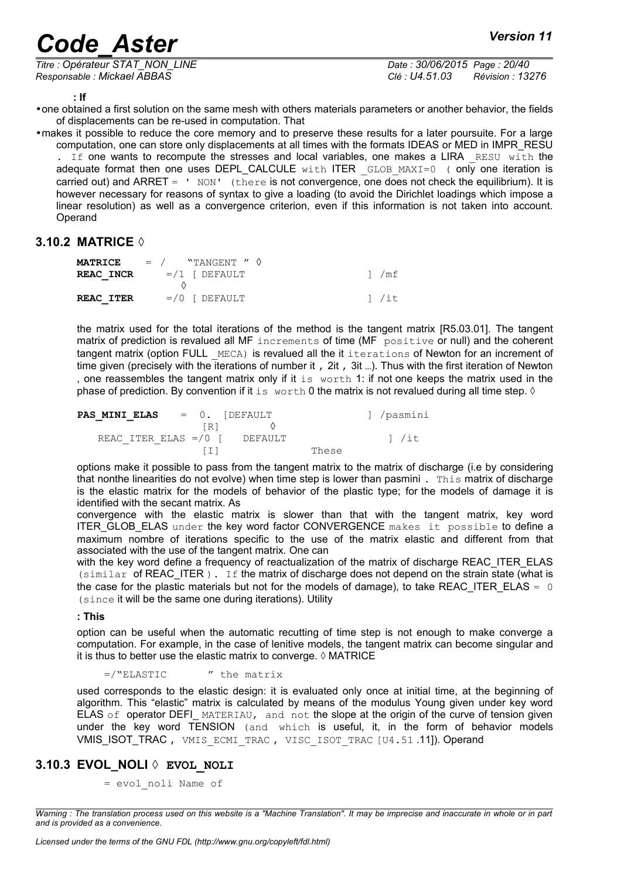*Titre : Opérateur STAT\_NON\_LINE Date : 30/06/2015 Page : 20/40 Responsable : Mickael ABBAS Clé : U4.51.03 Révision : 13276*

**: If**

•one obtained a first solution on the same mesh with others materials parameters or another behavior, the fields of displacements can be re-used in computation. That

•makes it possible to reduce the core memory and to preserve these results for a later poursuite. For a large computation, one can store only displacements at all times with the formats IDEAS or MED in IMPR\_RESU . If one wants to recompute the stresses and local variables, one makes a LIRA RESU with the adequate format then one uses DEPL\_CALCULE with ITER \_GLOB\_MAXI=0 ( only one iteration is carried out) and ARRET = ' NON' (there is not convergence, one does not check the equilibrium). It is however necessary for reasons of syntax to give a loading (to avoid the Dirichlet loadings which impose a linear resolution) as well as a convergence criterion, even if this information is not taken into account. **Operand** 

#### **3.10.2 MATRICE ◊**

<span id="page-19-1"></span>

|                  | <b>MATRICE</b> $=$ / "TANGENT " $\diamond$ |        |
|------------------|--------------------------------------------|--------|
| <b>REAC INCR</b> | $= / 1$ [ $DEFAULT$                        | 1 / mf |
|                  |                                            |        |
| <b>REAC ITER</b> | $=$ /0 [ DEFAULT                           | 1 / it |

the matrix used for the total iterations of the method is the tangent matrix [R5.03.01]. The tangent matrix of prediction is revalued all MF increments of time (MF positive or null) and the coherent tangent matrix (option FULL MECA) is revalued all the it iterations of Newton for an increment of time given (precisely with the iterations of number it, 2it, 3it...). Thus with the first iteration of Newton , one reassembles the tangent matrix only if it is worth 1: if not one keeps the matrix used in the phase of prediction. By convention if it is worth 0 the matrix is not revalued during all time step.  $\Diamond$ 

|  | <b>PAS MINI ELAS</b> |  | $= 0.$ [DEFAULT                    |       | 1 /pasmini |
|--|----------------------|--|------------------------------------|-------|------------|
|  |                      |  | $\begin{bmatrix} R \end{bmatrix}$  |       |            |
|  |                      |  | REAC ITER ELAS =/0 $\vert$ DEFAULT |       | 1 /it      |
|  |                      |  |                                    | These |            |

options make it possible to pass from the tangent matrix to the matrix of discharge (i.e by considering that nonthe linearities do not evolve) when time step is lower than pasmini . This matrix of discharge is the elastic matrix for the models of behavior of the plastic type; for the models of damage it is identified with the secant matrix. As

convergence with the elastic matrix is slower than that with the tangent matrix, key word ITER GLOB ELAS under the key word factor CONVERGENCE makes it possible to define a maximum nombre of iterations specific to the use of the matrix elastic and different from that associated with the use of the tangent matrix. One can

with the key word define a frequency of reactualization of the matrix of discharge REAC\_ITER\_ELAS  $(similar$  of REAC ITER ). If the matrix of discharge does not depend on the strain state (what is the case for the plastic materials but not for the models of damage), to take REAC\_ITER\_ELAS =  $0$ (since it will be the same one during iterations). Utility

#### **: This**

option can be useful when the automatic recutting of time step is not enough to make converge a computation. For example, in the case of lenitive models, the tangent matrix can become singular and it is thus to better use the elastic matrix to converge.  $\Diamond$  MATRICE

 $=$ /"ELASTIC  $\prime\prime$  the matrix

used corresponds to the elastic design: it is evaluated only once at initial time, at the beginning of algorithm. This "elastic" matrix is calculated by means of the modulus Young given under key word ELAS of operator DEFI\_MATERIAU, and not the slope at the origin of the curve of tension given under the key word TENSION (and which is useful, it, in the form of behavior models VMIS\_ISOT\_TRAC, VMIS ECMI TRAC, VISC ISOT TRAC [U4.51.11]). Operand

#### **3.10.3 EVOL\_NOLI ◊ EVOL\_NOLI**

<span id="page-19-0"></span>= evol\_noli Name of

*Warning : The translation process used on this website is a "Machine Translation". It may be imprecise and inaccurate in whole or in part and is provided as a convenience.*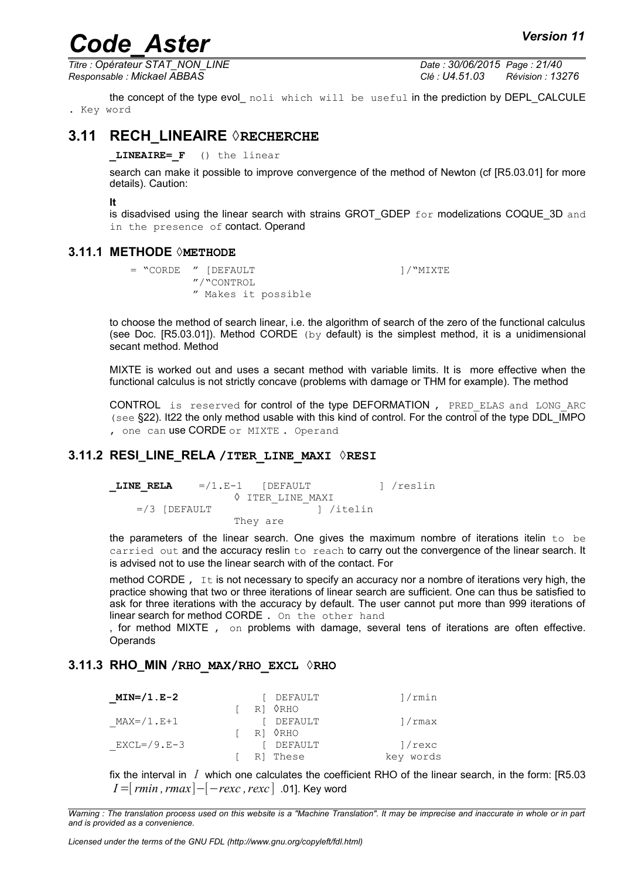*Titre : Opérateur STAT\_NON\_LINE Date : 30/06/2015 Page : 21/40 Responsable : Mickael ABBAS Clé : U4.51.03 Révision : 13276*

the concept of the type evol\_ noli which will be useful in the prediction by DEPL\_CALCULE . Key word

### **3.11 RECH\_LINEAIRE ◊RECHERCHE**

<span id="page-20-3"></span>**\_LINEAIRE=\_F** () the linear

search can make it possible to improve convergence of the method of Newton (cf [R5.03.01] for more details). Caution:

**It**

is disadvised using the linear search with strains GROT GDEP  $for$  modelizations COQUE 3D and in the presence of contact. Operand

#### **3.11.1 METHODE ◊METHODE**

```
= "CORDE " [DEFAULT ]/"MIXTE
       "/"CONTROL
       " Makes it possible
```
to choose the method of search linear, i.e. the algorithm of search of the zero of the functional calculus (see Doc. [R5.03.01]). Method CORDE (by default) is the simplest method, it is a unidimensional secant method. Method

MIXTE is worked out and uses a secant method with variable limits. It is more effective when the functional calculus is not strictly concave (problems with damage or THM for example). The method

CONTROL is reserved for control of the type DEFORMATION, PRED ELAS and LONG ARC (see §22). I[t22](#page-21-1) the only method usable with this kind of control. For the control of the type DDL\_IMPO , one can use CORDE or MIXTE. Operand

#### **3.11.2 RESI\_LINE\_RELA /ITER\_LINE\_MAXI ◊RESI**

<span id="page-20-1"></span>**LINE RELA** =/1.E-1 [DEFAULT ] /reslin ◊ ITER\_LINE\_MAXI =/3 [DEFAULT ] /itelin They are

the parameters of the linear search. One gives the maximum nombre of iterations itelin to be carried out and the accuracy reslin to reach to carry out the convergence of the linear search. It is advised not to use the linear search with of the contact. For

method CORDE,  $I_t$  is not necessary to specify an accuracy nor a nombre of iterations very high, the practice showing that two or three iterations of linear search are sufficient. One can thus be satisfied to ask for three iterations with the accuracy by default. The user cannot put more than 999 iterations of linear search for method CORDE . On the other hand

, for method MIXTE , on problems with damage, several tens of iterations are often effective. **Operands** 

#### **3.11.3 RHO\_MIN /RHO\_MAX/RHO\_EXCL ◊RHO**

<span id="page-20-0"></span>

| $MIN= / 1$ . $E-2$  |  | DEFAULT  | 1/rmin    |
|---------------------|--|----------|-----------|
|                     |  | RI 0RHO  |           |
| $MAX= / 1$ . $E+1$  |  | DEFAULT  | 1/rmax    |
|                     |  | ri 0rho  |           |
| $EXCL= / 9$ . $E-3$ |  | DEFAULT  | 1/rexc    |
|                     |  | RI These | key words |

fix the interval in *I* which one calculates the coefficient RHO of the linear search, in the form: [R5.03 *I* =[*rmin*, *rmax*]−[−*rexc*, *rexc*] .01]. Key word

*Warning : The translation process used on this website is a "Machine Translation". It may be imprecise and inaccurate in whole or in part and is provided as a convenience.*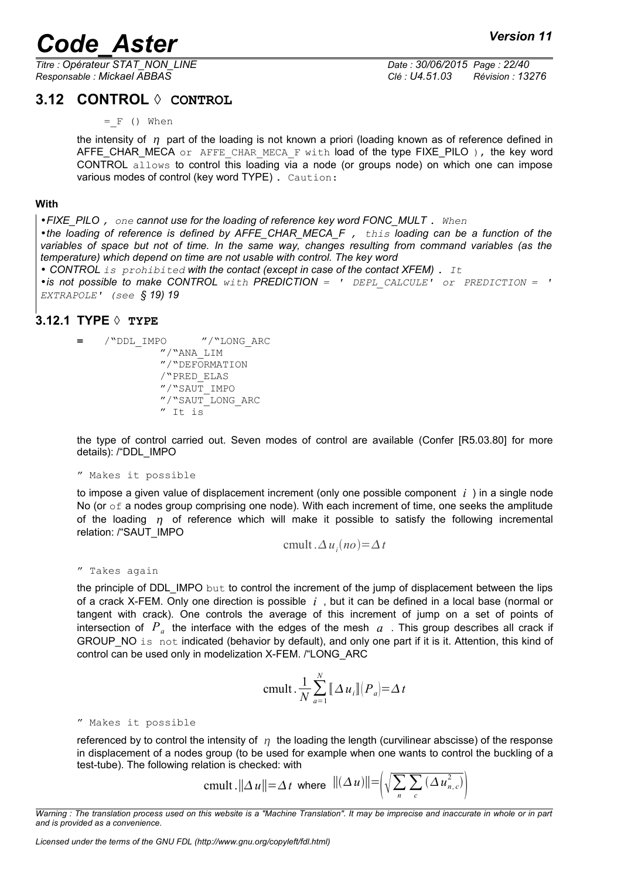*Titre : Opérateur STAT\_NON\_LINE Date : 30/06/2015 Page : 22/40 Responsable : Mickael ABBAS Clé : U4.51.03 Révision : 13276*

## **3.12 CONTROL ◊ CONTROL**

<span id="page-21-1"></span> $=$   $F$  () When

the intensity of  $\eta$  part of the loading is not known a priori (loading known as of reference defined in AFFE CHAR MECA or AFFE CHAR MECA F with load of the type FIXE PILO ), the key word CONTROL allows to control this loading via a node (or groups node) on which one can impose various modes of control (key word TYPE) . Caution:

#### **With**

•*FIXE\_PILO , one cannot use for the loading of reference key word FONC\_MULT . When* •*the loading of reference is defined by AFFE\_CHAR\_MECA\_F , this loading can be a function of the variables of space but not of time. In the same way, changes resulting from command variables (as the temperature) which depend on time are not usable with control. The key word*

• *CONTROL is prohibited with the contact (except in case of the contact XFEM) . It* •*is not possible to make CONTROL with PREDICTION = ' DEPL\_CALCULE' or PREDICTION = ' EXTRAPOLE' (see § 19) [19](#page-18-0)*

### **3.12.1 TYPE ◊ TYPE**

<span id="page-21-0"></span>**=** /"DDL\_IMPO "/"LONG\_ARC "/"ANA\_LIM "/"DEFORMATION /"PRED\_ELAS "/"SAUT\_IMPO "/"SAUT\_LONG\_ARC " It is

the type of control carried out. Seven modes of control are available (Confer [R5.03.80] for more details): /"DDL\_IMPO

" Makes it possible

to impose a given value of displacement increment (only one possible component *i* ) in a single node No (or  $\circ$  f a nodes group comprising one node). With each increment of time, one seeks the amplitude of the loading  $\eta$  of reference which will make it possible to satisfy the following incremental relation: /"SAUT\_IMPO

$$
cmult. \Delta u_i(no) = \Delta t
$$

" Takes again

the principle of DDL\_IMPO but to control the increment of the jump of displacement between the lips of a crack X-FEM. Only one direction is possible *i* , but it can be defined in a local base (normal or tangent with crack). One controls the average of this increment of jump on a set of points of intersection of  $P_a$  the interface with the edges of the mesh  $a$  . This group describes all crack if GROUP NO is not indicated (behavior by default), and only one part if it is it. Attention, this kind of control can be used only in modelization X-FEM. /"LONG\_ARC

$$
cmult. \frac{1}{N} \sum_{a=1}^{N} [\![ \Delta u_i ]\!] \big(P_a \big) = \Delta t
$$

" Makes it possible

referenced by to control the intensity of  $\eta$  the loading the length (curvilinear abscisse) of the response in displacement of a nodes group (to be used for example when one wants to control the buckling of a test-tube). The following relation is checked: with

$$
\text{cmult.} ||\Delta u|| = \Delta t \text{ where } ||(\Delta u)|| = \left(\sqrt{\sum_{n} \sum_{c} (\Delta u_{n,c}^2)}\right)
$$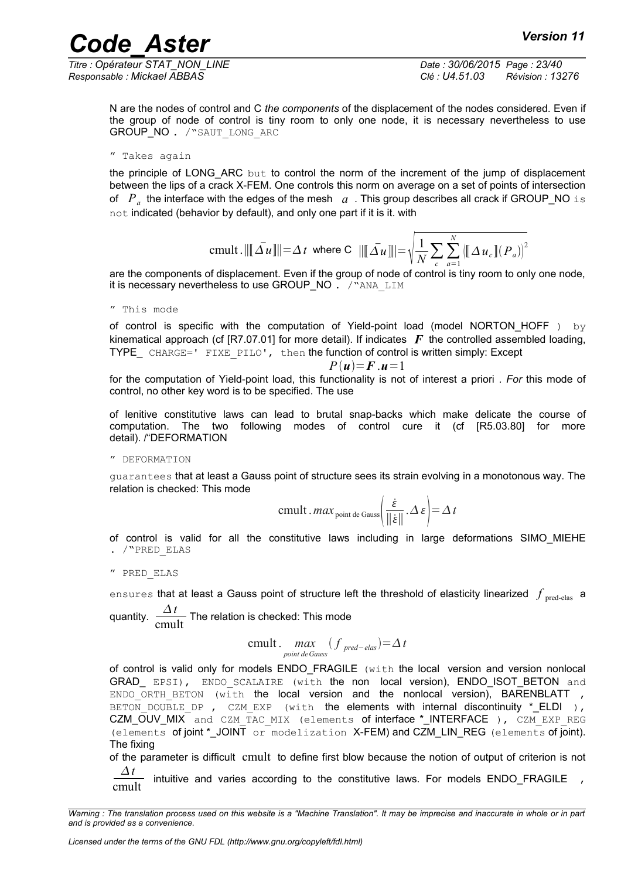*Titre : Opérateur STAT\_NON\_LINE Date : 30/06/2015 Page : 23/40 Responsable : Mickael ABBAS Clé : U4.51.03 Révision : 13276*

N are the nodes of control and C *the components* of the displacement of the nodes considered. Even if the group of node of control is tiny room to only one node, it is necessary nevertheless to use GROUP NO . / "SAUT LONG ARC

```
" Takes again
```
the principle of LONG\_ARC but to control the norm of the increment of the jump of displacement between the lips of a crack X-FEM. One controls this norm on average on a set of points of intersection of  $\| P_a \|$  the interface with the edges of the mesh  $\| a \|$  . This group describes all crack if GROUP\_NO  $\pm$  s not indicated (behavior by default), and only one part if it is it. with

$$
\text{cmult.} \|\|\bar{\Delta u}\|\| = \Delta t \text{ where } C \|\|\bar{\Delta u}\|\| = \sqrt{\frac{1}{N} \sum_{c} \sum_{a=1}^{N} (\|\Delta u_c\|(P_a))^2}
$$

are the components of displacement. Even if the group of node of control is tiny room to only one node, it is necessary nevertheless to use GROUP\_NO . / "ANA\_LIM

" This mode

of control is specific with the computation of Yield-point load (model NORTON HOFF ) by kinematical approach (cf  $[RT.07.01]$  for more detail). If indicates  $\boldsymbol{F}$  the controlled assembled loading, TYPE CHARGE=' FIXE PILO', then the function of control is written simply: Except

$$
P(u)=F.u=1
$$

for the computation of Yield-point load, this functionality is not of interest a priori *. For* this mode of control, no other key word is to be specified. The use

of lenitive constitutive laws can lead to brutal snap-backs which make delicate the course of computation. The two following modes of control cure it (cf [R5.03.80] for more detail). /"DEFORMATION

" DEFORMATION

guarantees that at least a Gauss point of structure sees its strain evolving in a monotonous way. The relation is checked: This mode

$$
cmult \cdot max_{\text{point de Gauss}} \left( \frac{\dot{\varepsilon}}{\|\dot{\varepsilon}\|} \cdot \Delta \varepsilon \right) = \Delta t
$$

of control is valid for all the constitutive laws including in large deformations SIMO\_MIEHE . /"PRED\_ELAS

" PRED\_ELAS

<code>ensures</code> that at least a Gauss point of structure left the threshold of elasticity linearized  $\,f_{\rm \,pred\text{-}elas} \,$  a quantity.  $\frac{\Delta t}{\Delta t}$ 

 $\frac{1}{2}$  The relation is checked: This mode

$$
\text{cmult.} \max_{\text{point de Gauss}} (f_{\text{pred-elas}}) = \Delta t
$$

of control is valid only for models ENDO\_FRAGILE (with the local version and version nonlocal GRAD EPSI), ENDO SCALAIRE (with the non local version), ENDO ISOT BETON and ENDO ORTH BETON (with the local version and the nonlocal version), BARENBLATT , BETON DOUBLE DP, CZM EXP (with the elements with internal discontinuity \* ELDI ), CZM\_OUV\_MIX and CZM\_TAC\_MIX (elements of interface \*\_INTERFACE ), CZM\_EXP\_REG (elements of joint \*\_JOINT or modelization X-FEM) and CZM\_LIN\_REG (elements of joint). The fixing

of the parameter is difficult cmult to define first blow because the notion of output of criterion is not *t*

 $\frac{\Delta t}{\text{cmult}}$  intuitive and varies according to the constitutive laws. For models ENDO\_FRAGILE,

*Warning : The translation process used on this website is a "Machine Translation". It may be imprecise and inaccurate in whole or in part and is provided as a convenience.*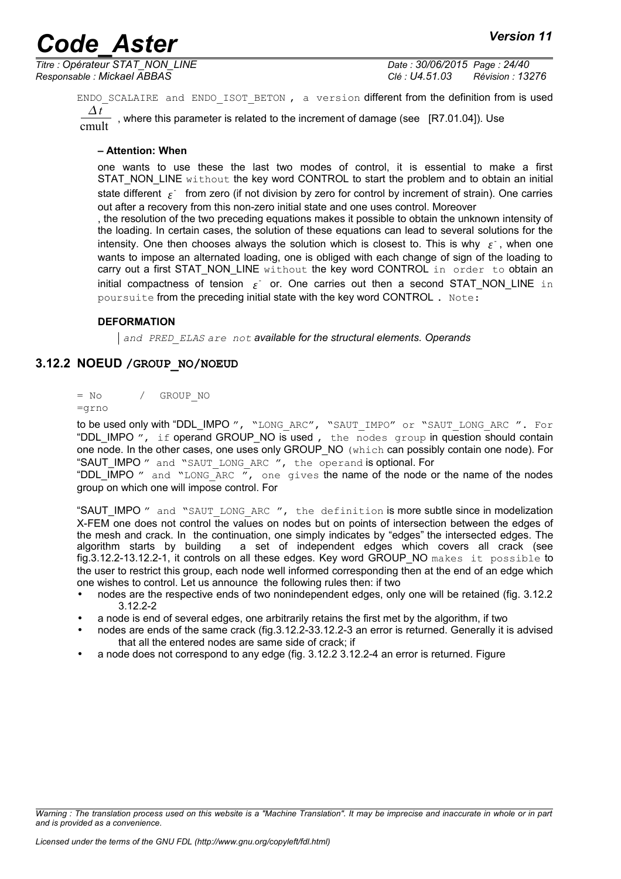*Titre : Opérateur STAT\_NON\_LINE Date : 30/06/2015 Page : 24/40 Responsable : Mickael ABBAS Clé : U4.51.03 Révision : 13276*

ENDO SCALAIRE and ENDO ISOT BETON, a version different from the definition from is used *t* where this parameter is related to the increment of damage (see [R7.01.04]). Use

#### **– Attention: When**

one wants to use these the last two modes of control, it is essential to make a first STAT\_NON\_LINE without the key word CONTROL to start the problem and to obtain an initial state different  $\epsilon^+$  from zero (if not division by zero for control by increment of strain). One carries out after a recovery from this non-zero initial state and one uses control. Moreover

, the resolution of the two preceding equations makes it possible to obtain the unknown intensity of the loading. In certain cases, the solution of these equations can lead to several solutions for the intensity. One then chooses always the solution which is closest to. This is why  $\epsilon^{\dagger}$ , when one wants to impose an alternated loading, one is obliged with each change of sign of the loading to carry out a first STAT\_NON\_LINE without the key word CONTROL in order to obtain an initial compactness of tension  $\epsilon^+$  or. One carries out then a second STAT\_NON\_LINE in poursuite from the preceding initial state with the key word CONTROL . Note:

#### **DEFORMATION**

*and PRED\_ELAS are not available for the structural elements. Operands*

#### **3.12.2 NOEUD /GROUP\_NO/NOEUD**

<span id="page-23-0"></span> $=$  No  $/$  GROUP NO

#### =grno

to be used only with "DDL\_IMPO ", "LONG ARC", "SAUT IMPO" or "SAUT LONG ARC ". For "DDL\_IMPO ", if operand GROUP\_NO is used, the nodes group in question should contain one node. In the other cases, one uses only GROUP\_NO (which can possibly contain one node). For "SAUT\_IMPO " and "SAUT\_LONG\_ARC ", the operand is optional. For

"DDL\_IMPO " and "LONG\_ARC ", one gives the name of the node or the name of the nodes group on which one will impose control. For

"SAUT IMPO " and "SAUT LONG ARC ", the definition is more subtle since in modelization X-FEM one does not control the values on nodes but on points of intersection between the edges of the mesh and crack. In the continuation, one simply indicates by "edges" the intersected edges. The algorithm starts by building a set of independent edges which covers all crack (see fig.3.12.2-[13.12.2-1,](#page-24-8) it controls on all these edges. Key word GROUP\_NO makes it possible to the user to restrict this group, each node well informed corresponding then at the end of an edge which one wishes to control. Let us announce the following rules then: if two

- nodes are the respective ends of two nonindependent edges, only one will be retained (fig. 3.12.2) [3.12.2-2](#page-24-7)
- a node is end of several edges, one arbitrarily retains the first met by the algorithm, if two
- nodes are ends of the same crack (fig.3.12.2-[33.12.2-3](#page-24-6) an error is returned. Generally it is advised that all the entered nodes are same side of crack; if
- a node does not correspond to any edge (fig. 3.12.2 [3.12.2-4](#page-24-5) an error is returned. Figure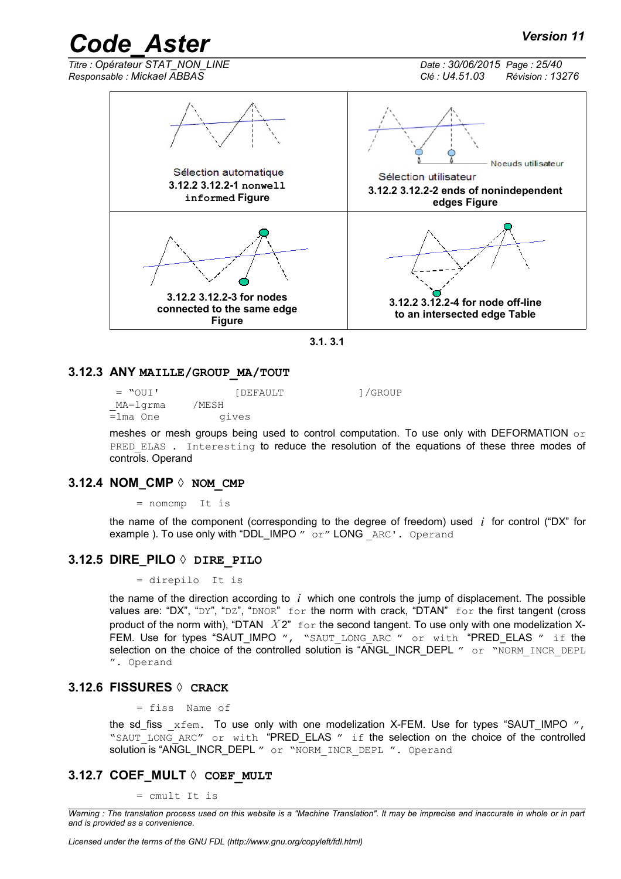*Titre : Opérateur STAT\_NON\_LINE Date : 30/06/2015 Page : 25/40*

*Responsable : Mickael ABBAS Clé : U4.51.03 Révision : 13276*

<span id="page-24-8"></span>

<span id="page-24-7"></span><span id="page-24-6"></span><span id="page-24-5"></span>

#### **3.12.3 ANY MAILLE/GROUP\_MA/TOUT**

<span id="page-24-0"></span>= "OUI' [DEFAULT ]/GROUP<br>MA=1qrma /MESH MA=lgrma  $\overline{=}$ lma One gives

meshes or mesh groups being used to control computation. To use only with DEFORMATION  $\circ$ r PRED ELAS . Interesting to reduce the resolution of the equations of these three modes of controls. Operand

#### **3.12.4 NOM\_CMP ◊ NOM\_CMP**

<span id="page-24-4"></span>= nomcmp It is

the name of the component (corresponding to the degree of freedom) used *i* for control ("DX" for example ). To use only with "DDL IMPO " or" LONG ARC'. Operand

#### **3.12.5 DIRE\_PILO ◊ DIRE\_PILO**

<span id="page-24-3"></span>= direpilo It is

the name of the direction according to *i* which one controls the jump of displacement. The possible values are: "DX", "DY", "DZ", "DNOR" for the norm with crack, "DTAN" for the first tangent (cross product of the norm with), "DTAN *X* 2" for the second tangent. To use only with one modelization X-FEM. Use for types "SAUT IMPO ", "SAUT LONG ARC " or with "PRED ELAS " if the selection on the choice of the controlled solution is "ANGL\_INCR\_DEPL " or "NORM\_INCR\_DEPL ". Operand

#### **3.12.6 FISSURES ◊ CRACK**

<span id="page-24-2"></span>= fiss Name of

the sd\_fiss  $xfem$ . To use only with one modelization X-FEM. Use for types "SAUT\_IMPO  $''$ , "SAUT\_LONG\_ARC" or with "PRED\_ELAS " if the selection on the choice of the controlled solution is "ANGL\_INCR\_DEPL " or "NORM INCR DEPL ". Operand

#### **3.12.7 COEF\_MULT ◊ COEF\_MULT**

<span id="page-24-1"></span>= cmult It is

*Warning : The translation process used on this website is a "Machine Translation". It may be imprecise and inaccurate in whole or in part and is provided as a convenience.*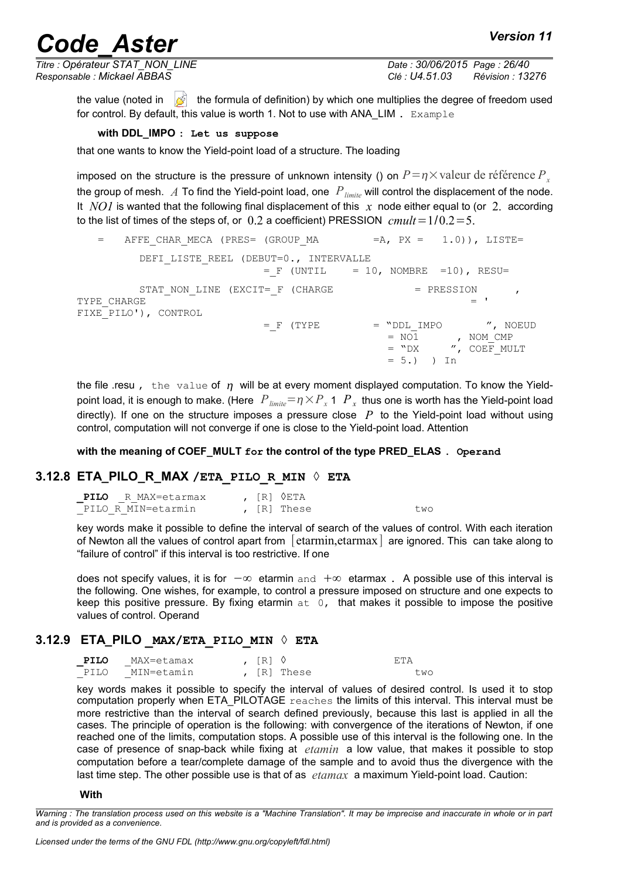*Titre : Opérateur STAT\_NON\_LINE Date : 30/06/2015 Page : 26/40 Responsable : Mickael ABBAS Clé : U4.51.03 Révision : 13276*

the value (noted in  $\mathbb{Z}$  the formula of definition) by which one multiplies the degree of freedom used for control. By default, this value is worth 1. Not to use with ANA\_LIM . Example

**with DDL\_IMPO : Let us suppose**

that one wants to know the Yield-point load of a structure. The loading

imposed on the structure is the pressure of unknown intensity () on  $P = \eta \times \text{value}$  de référence  $P_x$ the group of mesh. *A* To find the Yield-point load, one *Plimite* will control the displacement of the node. It *NO1* is wanted that the following final displacement of this *x* node either equal to (or 2. according to the list of times of the steps of, or  $0.2$  a coefficient) PRESSION  $\mathit{cmult} = 1/0.2 = 5$ .

AFFE CHAR MECA (PRES= (GROUP MA =  $A$ , PX = 1.0)), LISTE= DEFI\_LISTE\_REEL (DEBUT=0., INTERVALLE  $=$  F (UNTIL  $=$  10, NOMBRE =10), RESU= STAT\_NON\_LINE (EXCIT=  $F$  (CHARGE  $=$  PRESSION TYPE CHARGE  $=$   $\blacksquare$ FIXE\_PILO'), CONTROL  $=$   $F$  (TYPE  $=$  "DDL\_IMPO ", NOEUD  $=$  NO1 , NOM\_CMP = "DX ", COEF\_MULT  $= 5.$ ) ) In

the file resu, the value of  $\eta$  will be at every moment displayed computation. To know the Yieldpoint load, it is enough to make. (Here  $|P_{\it limit}= \eta\times P_{_X}$  1  $|P_{_X}|$  thus one is worth has the Yield-point load directly). If one on the structure imposes a pressure close  $P$  to the Yield-point load without using control, computation will not converge if one is close to the Yield-point load. Attention

**with the meaning of COEF\_MULT for the control of the type PRED\_ELAS . Operand**

### **3.12.8 ETA\_PILO\_R\_MAX /ETA\_PILO\_R\_MIN ◊ ETA**

<span id="page-25-1"></span>

| PILO R MAX=etarmax |  | , [R] ◊ETA  |     |  |
|--------------------|--|-------------|-----|--|
| PILO R MIN=etarmin |  | , [R] These | two |  |

key words make it possible to define the interval of search of the values of control. With each iteration of Newton all the values of control apart from  $\vert$  etarmin, etarmax  $\vert$  are ignored. This can take along to "failure of control" if this interval is too restrictive. If one

does not specify values, it is for  $-\infty$  etarmin and  $+\infty$  etarmax. A possible use of this interval is the following. One wishes, for example, to control a pressure imposed on structure and one expects to keep this positive pressure. By fixing etarmin  $at 0$ , that makes it possible to impose the positive values of control. Operand

#### **3.12.9 ETA\_PILO \_MAX/ETA\_PILO\_MIN ◊ ETA**

<span id="page-25-0"></span>

| PILO | MAX=etamax | , $IR1$ $\Diamond$ |             | F.TA |
|------|------------|--------------------|-------------|------|
| PILO | MIN=etamin |                    | , [R] These | two  |

key words makes it possible to specify the interval of values of desired control. Is used it to stop computation properly when ETA\_PILOTAGE reaches the limits of this interval. This interval must be more restrictive than the interval of search defined previously, because this last is applied in all the cases. The principle of operation is the following: with convergence of the iterations of Newton, if one reached one of the limits, computation stops. A possible use of this interval is the following one. In the case of presence of snap-back while fixing at *etamin* a low value, that makes it possible to stop computation before a tear/complete damage of the sample and to avoid thus the divergence with the last time step. The other possible use is that of as *etamax* a maximum Yield-point load. Caution:

#### **With**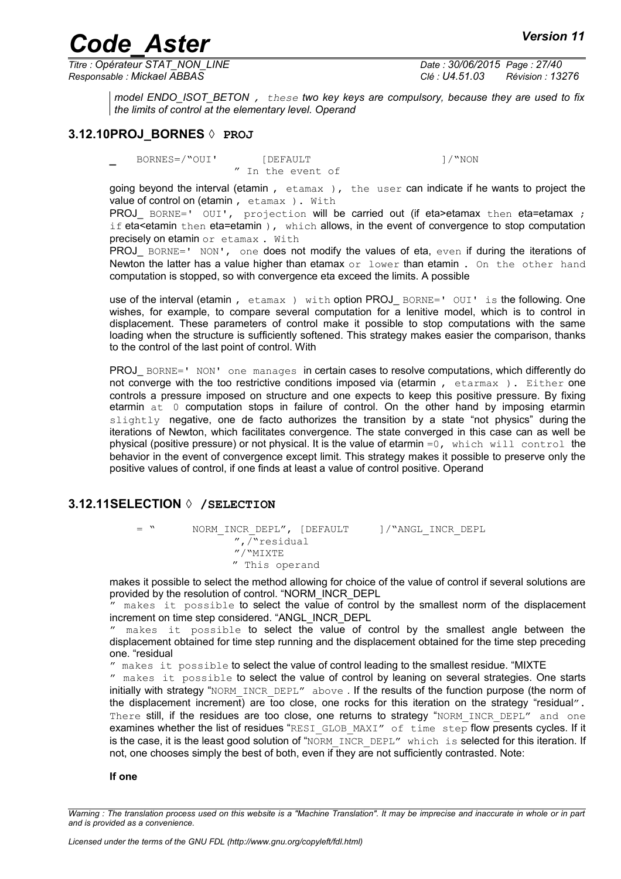*Titre : Opérateur STAT\_NON\_LINE Date : 30/06/2015 Page : 27/40*

*Responsable : Mickael ABBAS Clé : U4.51.03 Révision : 13276*

<span id="page-26-1"></span>*model ENDO\_ISOT\_BETON , these two key keys are compulsory, because they are used to fix the limits of control at the elementary level. Operand* 

#### **3.12.10PROJ\_BORNES ◊ PROJ**

**\_** BORNES=/"OUI' [DEFAULT ]/"NON

" In the event of

going beyond the interval (etamin , etamax ), the user can indicate if he wants to project the value of control on (etamin, etamax). With

**PROJ** BORNE=' OUI', projection will be carried out (if eta>etamax then eta=etamax ; if eta<br/>stamin then eta=etamin ), which allows, in the event of convergence to stop computation precisely on etamin or etamax . With

PROJ BORNE=' NON', one does not modify the values of eta, even if during the iterations of Newton the latter has a value higher than etamax  $\circ$ r lower than etamin. On the other hand computation is stopped, so with convergence eta exceed the limits. A possible

use of the interval (etamin, etamax) with option PROJ\_BORNE=' OUI' is the following. One wishes, for example, to compare several computation for a lenitive model, which is to control in displacement. These parameters of control make it possible to stop computations with the same loading when the structure is sufficiently softened. This strategy makes easier the comparison, thanks to the control of the last point of control. With

PROJ\_ BORNE=' NON' one manages in certain cases to resolve computations, which differently do not converge with the too restrictive conditions imposed via (etarmin, etarmax). Either one controls a pressure imposed on structure and one expects to keep this positive pressure. By fixing etarmin at 0 computation stops in failure of control. On the other hand by imposing etarmin  $s$ lightly negative, one de facto authorizes the transition by a state "not physics" during the iterations of Newton, which facilitates convergence. The state converged in this case can as well be physical (positive pressure) or not physical. It is the value of etarmin =0, which will control the behavior in the event of convergence except limit. This strategy makes it possible to preserve only the positive values of control, if one finds at least a value of control positive. Operand

#### **3.12.11SELECTION ◊ /SELECTION**

<span id="page-26-0"></span>= " NORM\_INCR\_DEPL", [DEFAULT ]/"ANGL\_INCR\_DEPL  $'',\overline{}/``$ residual  $\mathrm{''}/\mathrm{``MIXTE}$ " This operand

makes it possible to select the method allowing for choice of the value of control if several solutions are provided by the resolution of control. "NORM\_INCR\_DEPL

" makes it possible to select the value of control by the smallest norm of the displacement increment on time step considered. "ANGL\_INCR\_DEPL

" makes it possible to select the value of control by the smallest angle between the displacement obtained for time step running and the displacement obtained for the time step preceding one. "residual

" makes it possible to select the value of control leading to the smallest residue. "MIXTE

" makes it possible to select the value of control by leaning on several strategies. One starts initially with strategy "NORM\_INCR\_DEPL" above . If the results of the function purpose (the norm of the displacement increment) are too close, one rocks for this iteration on the strategy "residual". There still, if the residues are too close, one returns to strategy "NORM\_INCR\_DEPL" and one examines whether the list of residues "RESI\_GLOB\_MAXI" of time step flow presents cycles. If it is the case, it is the least good solution of "NORM\_INCR\_DEPL" which is selected for this iteration. If not, one chooses simply the best of both, even if they are not sufficiently contrasted. Note:

**If one**

*Warning : The translation process used on this website is a "Machine Translation". It may be imprecise and inaccurate in whole or in part and is provided as a convenience.*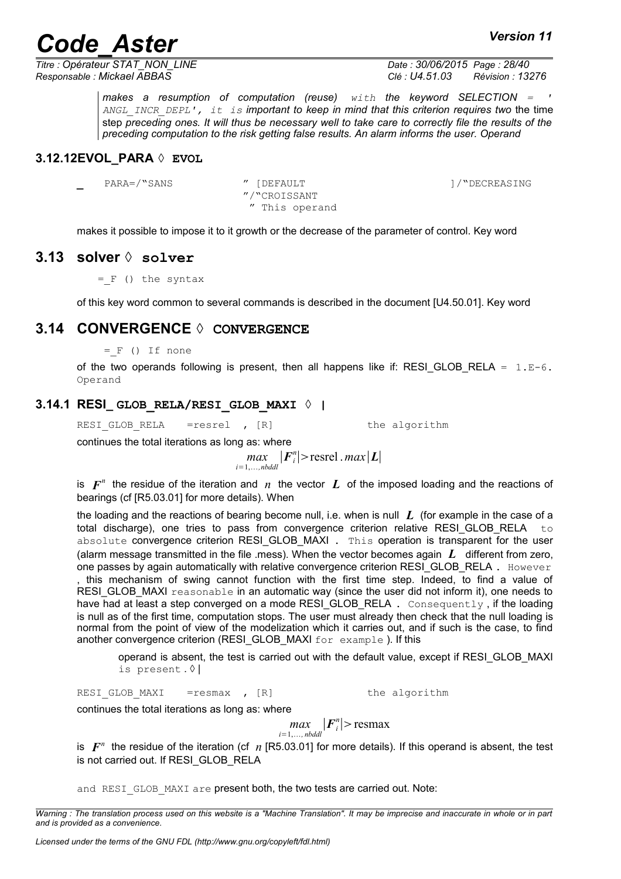*Titre : Opérateur STAT\_NON\_LINE Date : 30/06/2015 Page : 28/40*

*Responsable : Mickael ABBAS Clé : U4.51.03 Révision : 13276*

*makes a resumption of computation (reuse) with the keyword SELECTION = ' ANGL\_INCR\_DEPL', it is important to keep in mind that this criterion requires two* the time step *preceding ones. It will thus be necessary well to take care to correctly file the results of the preceding computation to the risk getting false results. An alarm informs the user. Operand*

#### **3.12.12EVOL\_PARA ◊ EVOL**

<span id="page-27-3"></span>**\_** PARA=/"SANS " [DEFAULT ]/"DECREASING

"/"CROISSANT " This operand

<span id="page-27-2"></span>makes it possible to impose it to it growth or the decrease of the parameter of control. Key word

#### **3.13 solver ◊ solver**

 $=$   $F$  () the syntax

<span id="page-27-1"></span>of this key word common to several commands is described in the document [U4.50.01]. Key word

### **3.14 CONVERGENCE ◊ CONVERGENCE**

 $=$   $F$  () If none

of the two operands following is present, then all happens like if: RESI GLOB RELA =  $1.E-6$ . Operand

#### **3.14.1 RESI\_ GLOB\_RELA/RESI\_GLOB\_MAXI ◊ |**

<span id="page-27-0"></span>RESI GLOB RELA =resrel , [R] the algorithm

continues the total iterations as long as: where

*max*<sub>i=1,...,*nbddl*</sub>  $|F_i^n|$ >resrel .*max*|*L*|

is  $\bm{F}^n$  the residue of the iteration and  $\ket{n}$  the vector  $\bm{L}$  of the imposed loading and the reactions of bearings (cf [R5.03.01] for more details). When

the loading and the reactions of bearing become null, i.e. when is null *L* (for example in the case of a total discharge), one tries to pass from convergence criterion relative RESI GLOB RELA  $t \circ$ absolute convergence criterion RESI GLOB MAXI . This operation is transparent for the user (alarm message transmitted in the file .mess). When the vector becomes again *L* different from zero, one passes by again automatically with relative convergence criterion RESI GLOB\_RELA . However , this mechanism of swing cannot function with the first time step. Indeed, to find a value of RESI GLOB MAXI reasonable in an automatic way (since the user did not inform it), one needs to have had at least a step converged on a mode RESI GLOB RELA. Consequently, if the loading is null as of the first time, computation stops. The user must already then check that the null loading is normal from the point of view of the modelization which it carries out, and if such is the case, to find another convergence criterion (RESI\_GLOB\_MAXI for example ). If this

operand is absent, the test is carried out with the default value, except if RESI\_GLOB\_MAXI is present . ◊ |

RESI GLOB MAXI = resmax , [R] the algorithm

continues the total iterations as long as: where

 $|max|$   $|F_i^n|$  > resmax *i*=1,*, nbddl*

is  $\bm{F}^n$  the residue of the iteration (cf  $n$  [R5.03.01] for more details). If this operand is absent, the test is not carried out. If RESI GLOB\_RELA

and RESI GLOB MAXI are present both, the two tests are carried out. Note:

*Warning : The translation process used on this website is a "Machine Translation". It may be imprecise and inaccurate in whole or in part and is provided as a convenience.*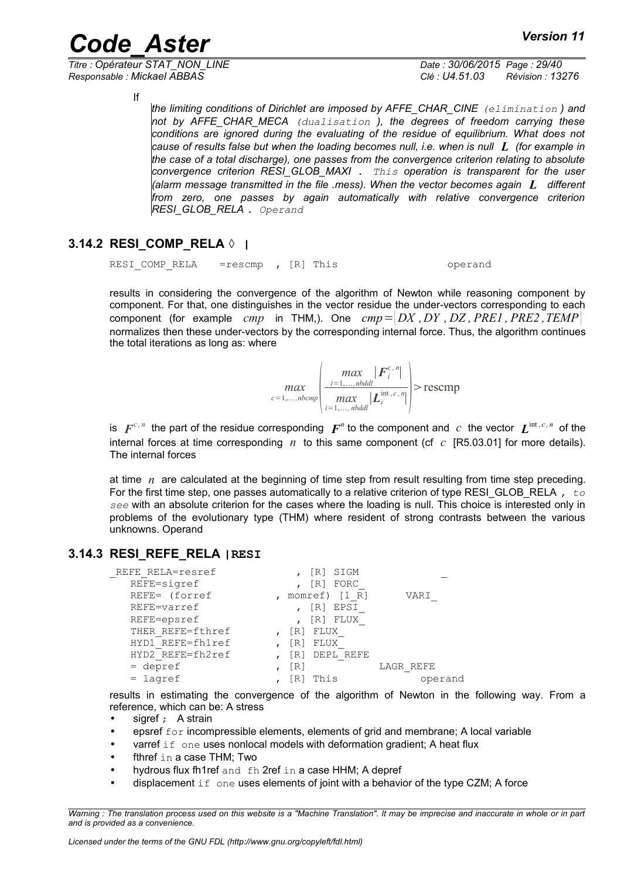*Titre : Opérateur STAT\_NON\_LINE Date : 30/06/2015 Page : 29/40 Responsable : Mickael ABBAS Clé : U4.51.03 Révision : 13276*

If

*the limiting conditions of Dirichlet are imposed by AFFE\_CHAR\_CINE (elimination ) and not by AFFE\_CHAR\_MECA (dualisation ), the degrees of freedom carrying these conditions are ignored during the evaluating of the residue of equilibrium. What does not cause of results false but when the loading becomes null, i.e. when is null L (for example in the case of a total discharge), one passes from the convergence criterion relating to absolute convergence criterion RESI\_GLOB\_MAXI . This operation is transparent for the user (alarm message transmitted in the file .mess). When the vector becomes again L different from zero, one passes by again automatically with relative convergence criterion RESI\_GLOB\_RELA . Operand*

### **3.14.2 RESI\_COMP\_RELA ◊ |**

<span id="page-28-1"></span>RESI COMP RELA =rescmp , [R] This operand

results in considering the convergence of the algorithm of Newton while reasoning component by component. For that, one distinguishes in the vector residue the under-vectors corresponding to each component (for example *cmp* in THM,). One *cmp*={ *DX ,DY , DZ , PRE1 , PRE2 ,TEMP*} normalizes then these under-vectors by the corresponding internal force. Thus, the algorithm continues the total iterations as long as: where

$$
\max_{c=1,\ldots,\text{nbcmp}}\left|\frac{\max\limits_{i=1,\ldots,\text{nbddl}}|F_i^{c,\textit{n}}|}{\max\limits_{i=1,\ldots,\text{nbddl}}|L_i^{\text{int},c,\textit{n}}|}\right|>\text{rescmp}
$$

is  $F^{c,n}$  the part of the residue corresponding  $F^n$  to the component and  $c$  the vector  $L^{\text{int},c,n}$  of the internal forces at time corresponding *n* to this same component (cf *c* [R5.03.01] for more details). The internal forces

at time  $n \text{ are calculated at the beginning of time step from result resulting from time step preceding.}$ For the first time step, one passes automatically to a relative criterion of type RESI\_GLOB\_RELA *, to see* with an absolute criterion for the cases where the loading is null. This choice is interested only in problems of the evolutionary type (THM) where resident of strong contrasts between the various unknowns. Operand

### **3.14.3 RESI\_REFE\_RELA |RESI**

<span id="page-28-0"></span>

| REFE RELA=resref | SIGM<br>  R               |           |
|------------------|---------------------------|-----------|
| REFE=sigref      | FORC<br>$\lceil R \rceil$ |           |
| REFE= (forref    | momref) $[1 R]$           | VARI      |
| REFE=varref      | EPSI<br>$\lceil R \rceil$ |           |
| REFE=epsref      | FLUX<br>$\lceil R \rceil$ |           |
| THER REFE=fthref | FLUX<br>[R]               |           |
| HYD1 REFE=fh1ref | FLUX<br>[R]               |           |
| HYD2 REFE=fh2ref | DEPL REFE<br>[R]          |           |
| $=$ depref       | [R]                       | LAGR REFE |
| $=$ lagref       | This                      | operand   |

results in estimating the convergence of the algorithm of Newton in the following way. From a reference, which can be: A stress

- sigref ; A strain
- epsref  $f \circ r$  incompressible elements, elements of grid and membrane; A local variable
- varref if one uses nonlocal models with deformation gradient; A heat flux
- fthref in a case THM: Two
- hydrous flux fh1ref and fh 2ref in a case HHM; A depref
- displacement  $if$  one uses elements of joint with a behavior of the type CZM; A force

*Warning : The translation process used on this website is a "Machine Translation". It may be imprecise and inaccurate in whole or in part and is provided as a convenience.*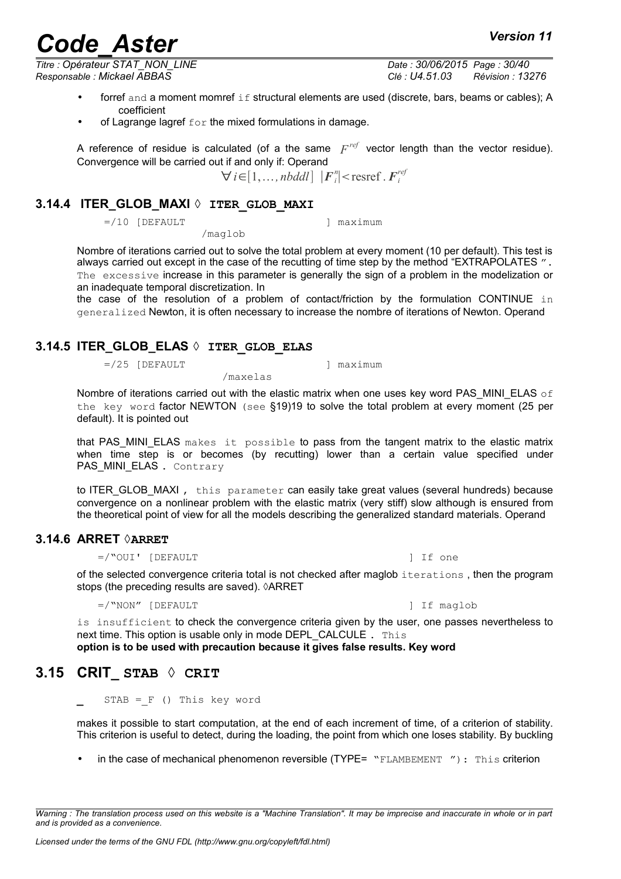*Titre : Opérateur STAT\_NON\_LINE Date : 30/06/2015 Page : 30/40*

*Licensed under the terms of the GNU FDL (http://www.gnu.org/copyleft/fdl.html)*

*Responsable : Mickael ABBAS Clé : U4.51.03 Révision : 13276*

- forref and a moment momref if structural elements are used (discrete, bars, beams or cables); A coefficient
- of Lagrange lagref  $for$  the mixed formulations in damage.

/maglob

A reference of residue is calculated (of a the same  $F^{ref}$  vector length than the vector residue). Convergence will be carried out if and only if: Operand

 $\forall i \in [1, ..., nbddl]$   $|F_i^n|$  < resref .  $F_i^{ref}$ 

### **3.14.4 ITER\_GLOB\_MAXI ◊ ITER\_GLOB\_MAXI**

<span id="page-29-3"></span> $=$ /10 [DEFAULT ] maximum

Nombre of iterations carried out to solve the total problem at every moment (10 per default). This test is always carried out except in the case of the recutting of time step by the method "EXTRAPOLATES". The excessive increase in this parameter is generally the sign of a problem in the modelization or an inadequate temporal discretization. In

the case of the resolution of a problem of contact/friction by the formulation CONTINUE in generalized Newton, it is often necessary to increase the nombre of iterations of Newton. Operand

### **3.14.5 ITER\_GLOB\_ELAS ◊ ITER\_GLOB\_ELAS**

<span id="page-29-2"></span> $=$ /25 [DEFAULT ] maximum

/maxelas

Nombre of iterations carried out with the elastic matrix when one uses key word PAS\_MINI\_ELAS  $\circ$  f the key word factor NEWTON (see §19[\)19](#page-18-1) to solve the total problem at every moment (25 per default). It is pointed out

that PAS MINI ELAS makes it possible to pass from the tangent matrix to the elastic matrix when time step is or becomes (by recutting) lower than a certain value specified under PAS MINI ELAS . Contrary

to ITER GLOB MAXI, this parameter can easily take great values (several hundreds) because convergence on a nonlinear problem with the elastic matrix (very stiff) slow although is ensured from the theoretical point of view for all the models describing the generalized standard materials. Operand

### **3.14.6 ARRET ◊ARRET**

<span id="page-29-1"></span> $=$ /"OUI' [DEFAULT ] If one

of the selected convergence criteria total is not checked after maglob iterations , then the program stops (the preceding results are saved). *ARRET* 

=/"NON" [DEFAULT ] If maglob

is insufficient to check the convergence criteria given by the user, one passes nevertheless to next time. This option is usable only in mode DEPL CALCULE . This

<span id="page-29-0"></span>**option is to be used with precaution because it gives false results. Key word**

## **3.15 CRIT\_ STAB ◊ CRIT**

*and is provided as a convenience.*

 $STAB = F$  () This key word

makes it possible to start computation, at the end of each increment of time, of a criterion of stability. This criterion is useful to detect, during the loading, the point from which one loses stability. By buckling

• in the case of mechanical phenomenon reversible (TYPE= "FLAMBEMENT"): This criterion

*Warning : The translation process used on this website is a "Machine Translation". It may be imprecise and inaccurate in whole or in part*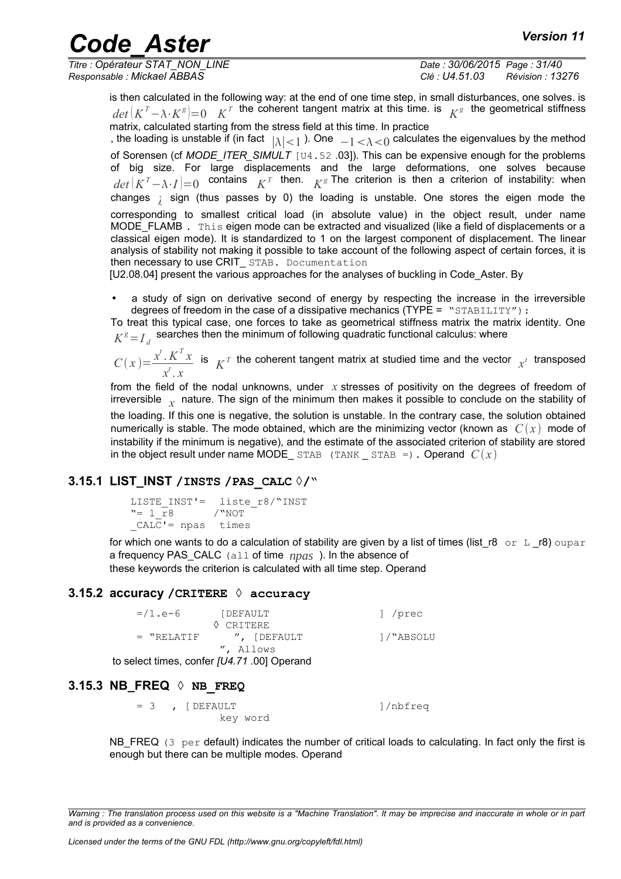*Titre : Opérateur STAT\_NON\_LINE Date : 30/06/2015 Page : 31/40 Responsable : Mickael ABBAS Clé : U4.51.03 Révision : 13276*

is then calculated in the following way: at the end of one time step, in small disturbances, one solves. is  $det\left(K^T - \lambda \cdot K^g\right) = 0$   $K^T$  the coherent tangent matrix at this time. is  $K^g$  the geometrical stiffness matrix, calculated starting from the stress field at this time. In practice

, the loading is unstable if (in fact  $\,\,|\lambda|\!<\!1$  ). One  $\,\,-1\!<\!\lambda\!<\!0$  calculates the eigenvalues by the method of Sorensen (cf MODE ITER\_SIMULT [U4.52 .03]). This can be expensive enough for the problems of big size. For large displacements and the large deformations, one solves because  $det\left(K^{T}-\lambda\cdot I\right)=0$  contains  $K^{T}$  then.  $K^{g}$  The criterion is then a criterion of instability: when changes <sub>*λ*</sub> sign (thus passes by 0) the loading is unstable. One stores the eigen mode the corresponding to smallest critical load (in absolute value) in the object result, under name MODE\_FLAMB . This eigen mode can be extracted and visualized (like a field of displacements or a classical eigen mode). It is standardized to 1 on the largest component of displacement. The linear analysis of stability not making it possible to take account of the following aspect of certain forces, it is then necessary to use CRIT STAB. Documentation

[U2.08.04] present the various approaches for the analyses of buckling in Code Aster. By

• a study of sign on derivative second of energy by respecting the increase in the irreversible degrees of freedom in the case of a dissipative mechanics ( $\text{TYPE} = \text{``STABILITY''}:$ 

To treat this typical case, one forces to take as geometrical stiffness matrix the matrix identity. One  $K^{\rm g}\!=\!I_{\rm d}^{\phantom{\prime}}$  searches then the minimum of following quadratic functional calculus: where

 $C(x) = \frac{x^t \cdot K^T x}{t}$ *x t* . *x* is  $K^T$  the coherent tangent matrix at studied time and the vector  $x^i$  transposed

from the field of the nodal unknowns, under *x* stresses of positivity on the degrees of freedom of irreversible *x* nature. The sign of the minimum then makes it possible to conclude on the stability of the loading. If this one is negative, the solution is unstable. In the contrary case, the solution obtained numerically is stable. The mode obtained, which are the minimizing vector (known as  $C(x)$  mode of instability if the minimum is negative), and the estimate of the associated criterion of stability are stored in the object result under name MODE STAB (TANK STAB =). Operand  $C(x)$ 

### **3.15.1 LIST\_INST /INSTS /PAS\_CALC ◊/"**

```
LISTE_INST'= liste_r8/"INST
"= l_r8 /"NOT
CALC'= npas times
```
for which one wants to do a calculation of stability are given by a list of times (list r8 or L r8) oupar a frequency PAS\_CALC (all of time *npas* ). In the absence of these keywords the criterion is calculated with all time step. Operand

#### **3.15.2 accuracy /CRITERE ◊ accuracy**

<span id="page-30-1"></span>=/1.e-6 [DEFAULT ] /prec ◊ CRITERE = "RELATIF ", [DEFAULT ]/"ABSOLU ", Allows to select times, confer *[U4.71* .00] Operand

### **3.15.3 NB\_FREQ ◊ NB\_FREQ**

<span id="page-30-0"></span> $= 3$ ,  $[DEFAULT$  ]/nbfreq key word

NB\_FREQ  $(3 per$  default) indicates the number of critical loads to calculating. In fact only the first is enough but there can be multiple modes. Operand

*Warning : The translation process used on this website is a "Machine Translation". It may be imprecise and inaccurate in whole or in part and is provided as a convenience.*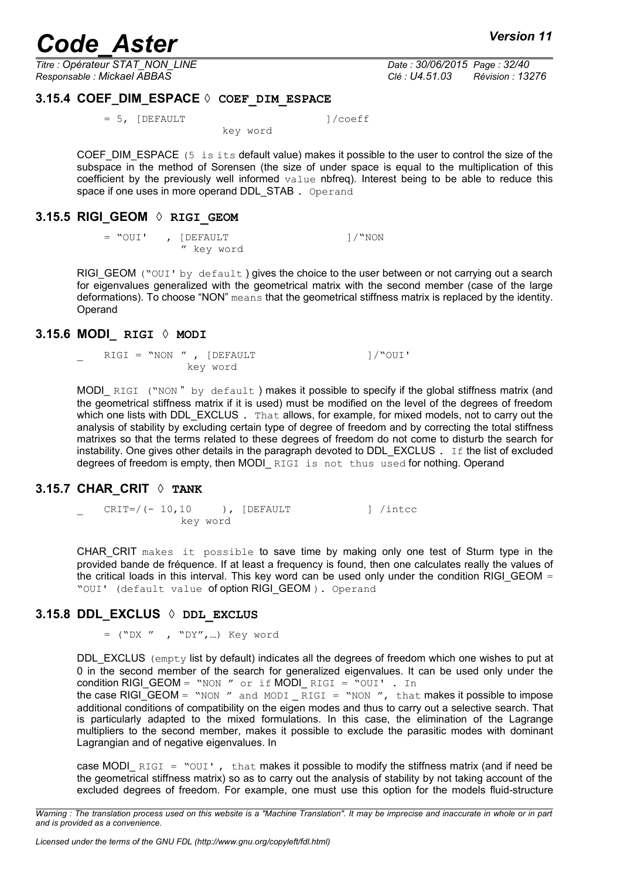*Titre : Opérateur STAT\_NON\_LINE Date : 30/06/2015 Page : 32/40 Responsable : Mickael ABBAS Clé : U4.51.03 Révision : 13276*

### **3.15.4 COEF\_DIM\_ESPACE ◊ COEF\_DIM\_ESPACE**

<span id="page-31-4"></span> = 5, [DEFAULT ]/coeff key word

COEF DIM ESPACE  $(5 \text{ is its default value})$  makes it possible to the user to control the size of the subspace in the method of Sorensen (the size of under space is equal to the multiplication of this coefficient by the previously well informed  $value$  nbfreq). Interest being to be able to reduce this space if one uses in more operand DDL STAB. Operand

#### **3.15.5 RIGI\_GEOM ◊ RIGI\_GEOM**

<span id="page-31-3"></span> $=$  "OUI' , [DEFAULT ]/"NON " key word

RIGI GEOM ("OUI' by default) gives the choice to the user between or not carrying out a search for eigenvalues generalized with the geometrical matrix with the second member (case of the large deformations). To choose "NON" means that the geometrical stiffness matrix is replaced by the identity. Operand

#### **3.15.6 MODI\_ RIGI ◊ MODI**

<span id="page-31-2"></span>RIGI = "NON ", [DEFAULT ]/"OUI' key word

MODI\_RIGI ("NON" by default) makes it possible to specify if the global stiffness matrix (and the geometrical stiffness matrix if it is used) must be modified on the level of the degrees of freedom which one lists with DDL\_EXCLUS . That allows, for example, for mixed models, not to carry out the analysis of stability by excluding certain type of degree of freedom and by correcting the total stiffness matrixes so that the terms related to these degrees of freedom do not come to disturb the search for instability. One gives other details in the paragraph devoted to DDL EXCLUS  $\cdot$  If the list of excluded degrees of freedom is empty, then MODI RIGI is not thus used for nothing. Operand

### **3.15.7 CHAR\_CRIT ◊ TANK**

<span id="page-31-1"></span>CRIT=/(- 10,10 ), [DEFAULT ] /intcc key word

CHAR\_CRIT makes it possible to save time by making only one test of Sturm type in the provided bande de fréquence. If at least a frequency is found, then one calculates really the values of the critical loads in this interval. This key word can be used only under the condition RIGI\_GEOM = "OUI' (default value of option RIGI\_GEOM ). Operand

### **3.15.8 DDL\_EXCLUS ◊ DDL\_EXCLUS**

<span id="page-31-0"></span>= ("DX " , "DY",…) Key word

DDL $EXCLUS$  (empty list by default) indicates all the degrees of freedom which one wishes to put at 0 in the second member of the search for generalized eigenvalues. It can be used only under the condition RIGI\_GEOM = "NON " or if MODI\_ RIGI = "OUI' . In the case RIGI\_GEOM = "NON " and MODI \_ RIGI = "NON ", that makes it possible to impose additional conditions of compatibility on the eigen modes and thus to carry out a selective search. That is particularly adapted to the mixed formulations. In this case, the elimination of the Lagrange multipliers to the second member, makes it possible to exclude the parasitic modes with dominant Lagrangian and of negative eigenvalues. In

case MODI RIGI = " $OUT$ , that makes it possible to modify the stiffness matrix (and if need be the geometrical stiffness matrix) so as to carry out the analysis of stability by not taking account of the excluded degrees of freedom. For example, one must use this option for the models fluid-structure

*Warning : The translation process used on this website is a "Machine Translation". It may be imprecise and inaccurate in whole or in part and is provided as a convenience.*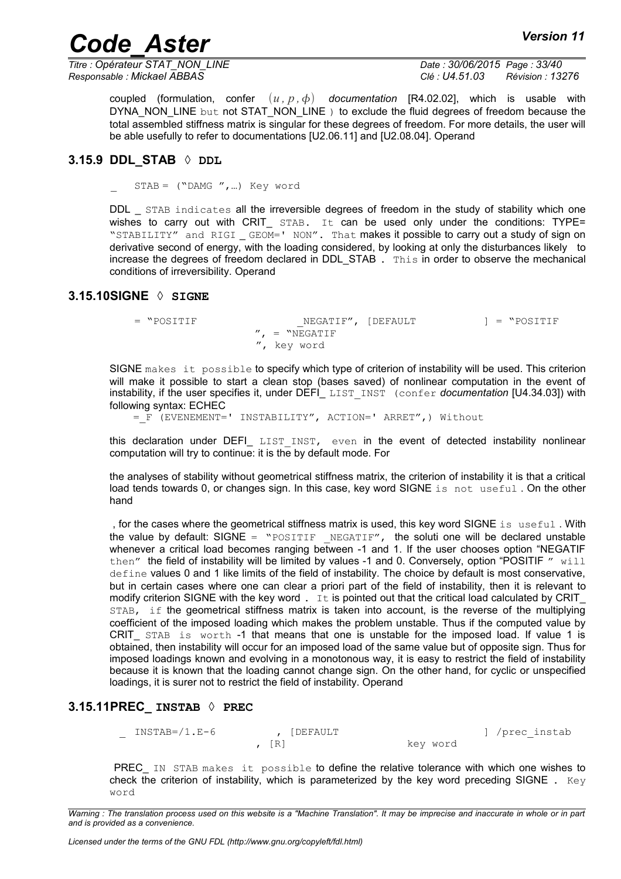*Titre : Opérateur STAT\_NON\_LINE Date : 30/06/2015 Page : 33/40 Responsable : Mickael ABBAS Clé : U4.51.03 Révision : 13276*

coupled (formulation, confer  $(u, p, \phi)$  documentation [R4.02.02], which is usable with DYNA\_NON\_LINE but not STAT\_NON\_LINE ) to exclude the fluid degrees of freedom because the total assembled stiffness matrix is singular for these degrees of freedom. For more details, the user will be able usefully to refer to documentations [U2.06.11] and [U2.08.04]. Operand

#### **3.15.9 DDL\_STAB ◊ DDL**

<span id="page-32-2"></span> $STAB = ("DAMG",...)$  Key word

DDL STAB indicates all the irreversible degrees of freedom in the study of stability which one wishes to carry out with CRIT  $STAB$ . It can be used only under the conditions: TYPE= "STABILITY" and RIGI \_ GEOM=' NON". That makes it possible to carry out a study of sign on derivative second of energy, with the loading considered, by looking at only the disturbances likely to increase the degrees of freedom declared in DDL STAB . This in order to observe the mechanical conditions of irreversibility. Operand

#### **3.15.10SIGNE ◊ SIGNE**

<span id="page-32-1"></span>= "POSITIF \_NEGATIF", [DEFAULT ] = "POSITIF  $''$ , = "NEGATIF ", key word

SIGNE makes it possible to specify which type of criterion of instability will be used. This criterion will make it possible to start a clean stop (bases saved) of nonlinear computation in the event of instability, if the user specifies it, under DEFI\_ LIST\_INST (confer *documentation* [U4.34.03]) with following syntax: ECHEC

=\_F (EVENEMENT=' INSTABILITY", ACTION=' ARRET",) Without

this declaration under DEFI\_ LIST INST, even in the event of detected instability nonlinear computation will try to continue: it is the by default mode. For

the analyses of stability without geometrical stiffness matrix, the criterion of instability it is that a critical load tends towards 0, or changes sign. In this case, key word SIGNE is not useful . On the other hand

, for the cases where the geometrical stiffness matrix is used, this key word SIGNE is useful . With the value by default: SIGNE = "POSITIF \_ NEGATIF", the soluti one will be declared unstable whenever a critical load becomes ranging between -1 and 1. If the user chooses option "NEGATIF then" the field of instability will be limited by values -1 and 0. Conversely, option "POSITIF  $"$  will define values 0 and 1 like limits of the field of instability. The choice by default is most conservative, but in certain cases where one can clear a priori part of the field of instability, then it is relevant to modify criterion SIGNE with the key word .  $I$ t is pointed out that the critical load calculated by CRIT STAB, if the geometrical stiffness matrix is taken into account, is the reverse of the multiplying coefficient of the imposed loading which makes the problem unstable. Thus if the computed value by CRIT STAB is worth -1 that means that one is unstable for the imposed load. If value 1 is obtained, then instability will occur for an imposed load of the same value but of opposite sign. Thus for imposed loadings known and evolving in a monotonous way, it is easy to restrict the field of instability because it is known that the loading cannot change sign. On the other hand, for cyclic or unspecified loadings, it is surer not to restrict the field of instability. Operand

#### **3.15.11PREC\_ INSTAB ◊ PREC**

<span id="page-32-0"></span> \_ INSTAB=/1.E-6 , [DEFAULT ] /prec\_instab , [R] key word

PREC IN STAB makes it possible to define the relative tolerance with which one wishes to check the criterion of instability, which is parameterized by the key word preceding SIGNE . Key word

*Warning : The translation process used on this website is a "Machine Translation". It may be imprecise and inaccurate in whole or in part and is provided as a convenience.*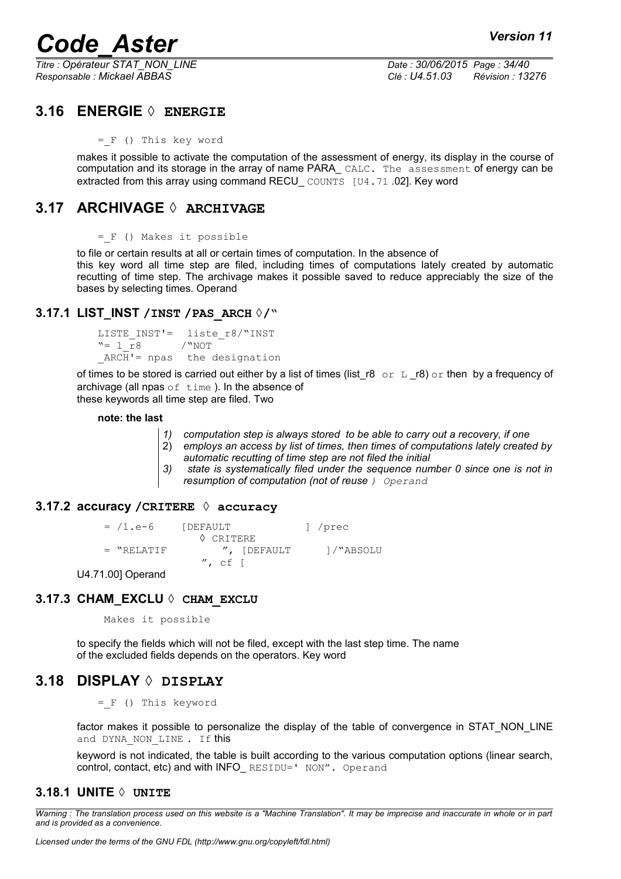*Titre : Opérateur STAT\_NON\_LINE Date : 30/06/2015 Page : 34/40 Responsable : Mickael ABBAS Clé : U4.51.03 Révision : 13276*

### **3.16 ENERGIE ◊ ENERGIE**

<span id="page-33-6"></span>=\_F () This key word

makes it possible to activate the computation of the assessment of energy, its display in the course of computation and its storage in the array of name PARA CALC. The assessment of energy can be extracted from this array using command RECU COUNTS [U4.71 .02]. Key word

## **3.17 ARCHIVAGE ◊ ARCHIVAGE**

<span id="page-33-5"></span>=\_F () Makes it possible

to file or certain results at all or certain times of computation. In the absence of this key word all time step are filed, including times of computations lately created by automatic recutting of time step. The archivage makes it possible saved to reduce appreciably the size of the bases by selecting times. Operand

#### **3.17.1 LIST\_INST /INST /PAS\_ARCH ◊/"**

```
LISTE INST'= liste r8/"INST
"= 1 \overline{r}8 /"NOT
ARCH'= npas the designation
```
of times to be stored is carried out either by a list of times (list r8 or L  $r8$ ) or then by a frequency of archivage (all npas  $of$  time). In the absence of these keywords all time step are filed. Two

#### **note: the last**

- *1) computation step is always stored to be able to carry out a recovery, if one*
- 2) *employs an access by list of times, then times of computations lately created by automatic recutting of time step are not filed the initial*
- *3) state is systematically filed under the sequence number 0 since one is not in resumption of computation (not of reuse ) Operand*

#### **3.17.2 accuracy /CRITERE ◊ accuracy**

<span id="page-33-3"></span>= /1.e-6 [DEFAULT ] /prec ◊ CRITERE = "RELATIF ", [DEFAULT ]/"ABSOLU  $^{\prime\prime}$ , cf [

<span id="page-33-2"></span>U4.71.00] Operand

#### **3.17.3 CHAM\_EXCLU ◊ CHAM\_EXCLU**

Makes it possible

to specify the fields which will not be filed, except with the last step time. The name of the excluded fields depends on the operators. Key word

### **3.18 DISPLAY ◊ DISPLAY**

<span id="page-33-1"></span>=\_F () This keyword

factor makes it possible to personalize the display of the table of convergence in STAT\_NON\_LINE and DYNA NON LINE . If this

<span id="page-33-0"></span>keyword is not indicated, the table is built according to the various computation options (linear search, control, contact, etc) and with INFO\_ RESIDU=' NON". Operand

#### **3.18.1 UNITE ◊ UNITE**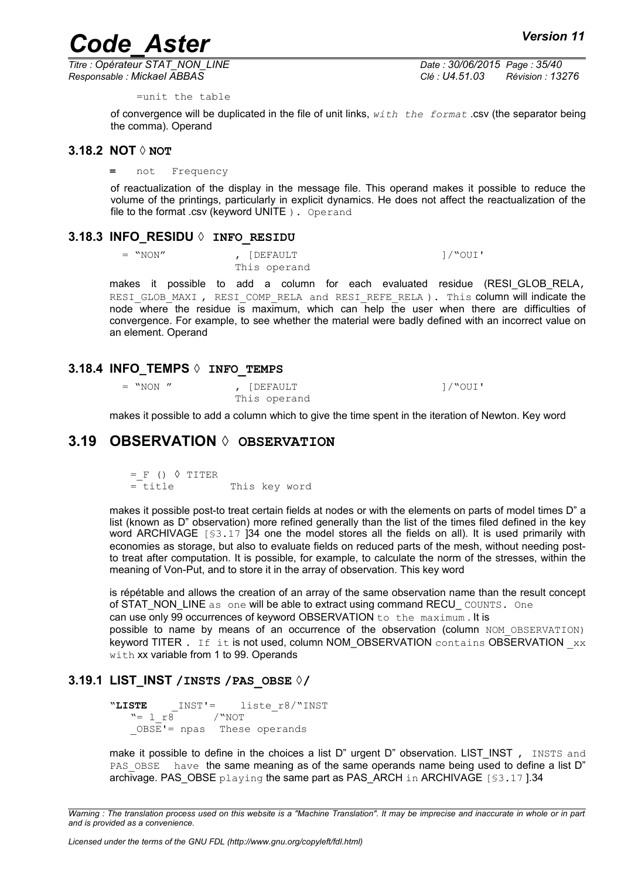*Titre : Opérateur STAT\_NON\_LINE Date : 30/06/2015 Page : 35/40 Responsable : Mickael ABBAS Clé : U4.51.03 Révision : 13276*

=unit the table

of convergence will be duplicated in the file of unit links, *with the format* .csv (the separator being the comma). Operand

#### **3.18.2 NOT ◊ NOT**

#### <span id="page-34-4"></span>**=** not Frequency

of reactualization of the display in the message file. This operand makes it possible to reduce the volume of the printings, particularly in explicit dynamics. He does not affect the reactualization of the file to the format .csv (keyword UNITE ) . Operand

#### **3.18.3 INFO\_RESIDU ◊ INFO\_RESIDU**

<span id="page-34-3"></span> $=$  "NON" ,  $[DEFAULT$   $] / "OUI'$ 

This operand

makes it possible to add a column for each evaluated residue (RESI GLOB RELA, RESI GLOB MAXI , RESI COMP\_RELA and RESI\_REFE\_RELA ). This column will indicate the node where the residue is maximum, which can help the user when there are difficulties of convergence. For example, to see whether the material were badly defined with an incorrect value on an element. Operand

#### **3.18.4 INFO\_TEMPS ◊ INFO\_TEMPS**

<span id="page-34-2"></span> $=$  "NON " , [DEFAULT  $\qquad \qquad$   $\qquad \qquad$   $\qquad \qquad$   $\qquad$   $\qquad$   $\qquad$   $\qquad$   $\qquad$   $\qquad$   $\qquad$   $\qquad$   $\qquad$   $\qquad$   $\qquad$   $\qquad$   $\qquad$   $\qquad$   $\qquad$   $\qquad$   $\qquad$   $\qquad$   $\qquad$   $\qquad$   $\qquad$   $\qquad$   $\qquad$   $\qquad$   $\qquad$   $\qquad$   $\qquad$   $\qquad$   $\qquad$ This operand

<span id="page-34-1"></span>makes it possible to add a column which to give the time spent in the iteration of Newton. Key word

### **3.19 OBSERVATION ◊ OBSERVATION**

 $=$  F ()  $\Diamond$  TITER = title This key word

makes it possible post-to treat certain fields at nodes or with the elements on parts of model times D" a list (known as D" observation) more refined generally than the list of the times filed defined in the key word ARCHIVAGE [§3,17 [\]34](#page-33-5) one the model stores all the fields on all). It is used primarily with economies as storage, but also to evaluate fields on reduced parts of the mesh, without needing postto treat after computation. It is possible, for example, to calculate the norm of the stresses, within the meaning of Von-Put, and to store it in the array of observation. This key word

is répétable and allows the creation of an array of the same observation name than the result concept of STAT\_NON\_LINE as one will be able to extract using command RECU\_ COUNTS. One can use only 99 occurrences of keyword OBSERVATION to the maximum . It is possible to name by means of an occurrence of the observation (column NOM OBSERVATION) keyword TITER . If it is not used, column NOM\_OBSERVATION contains OBSERVATION  $_{xx}$ with xx variable from 1 to 99. Operands

#### **3.19.1 LIST\_INST /INSTS /PAS\_OBSE ◊/**

```
"LISTE INST'= liste r8/"INST
  "= 1 r8 /"NOT
  _OBSE'= npas These operands
```
make it possible to define in the choices a list D" urgent D" observation. LIST\_INST, INSTS and PAS OBSE have the same meaning as of the same operands name being used to define a list D" archivage. PAS\_OBSE playing the same part as PAS\_ARCH in ARCHIVAGE [§3.17 ][.34](#page-33-5)

*Warning : The translation process used on this website is a "Machine Translation". It may be imprecise and inaccurate in whole or in part and is provided as a convenience.*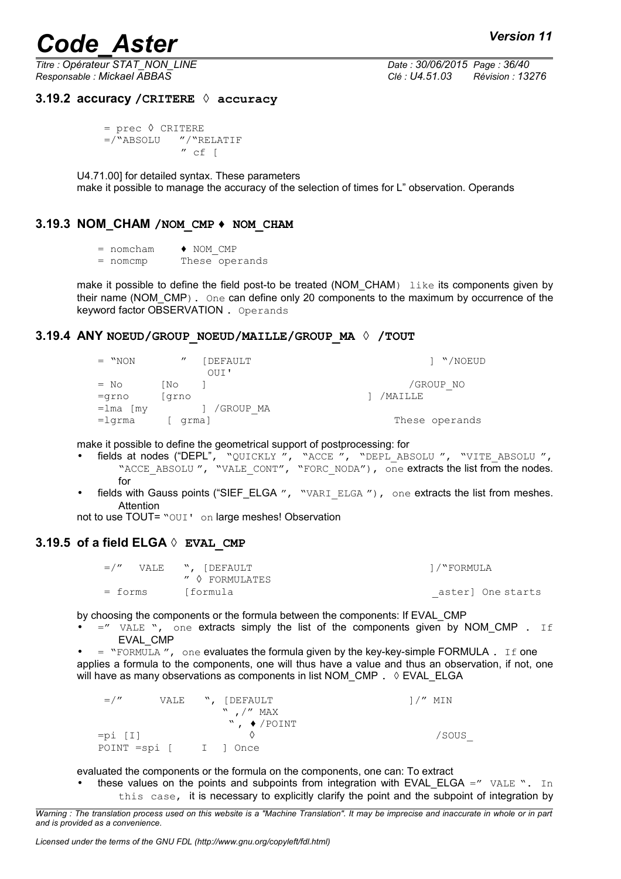*Titre : Opérateur STAT\_NON\_LINE Date : 30/06/2015 Page : 36/40 Responsable : Mickael ABBAS Clé : U4.51.03 Révision : 13276*

#### <span id="page-35-3"></span>**3.19.2 accuracy /CRITERE ◊ accuracy**

```
= prec ◊ CRITERE
 =/"ABSOLU "/"RELATIF
            '' cf [
```
U4.71.00] for detailed syntax. These parameters make it possible to manage the accuracy of the selection of times for L" observation. Operands

### **3.19.3 NOM\_CHAM /NOM\_CMP ♦ NOM\_CHAM**

- <span id="page-35-2"></span> $=$  nomcham  $\rightarrow$  NOM CMP
- = nomcmp These operands

make it possible to define the field post-to be treated (NOM\_CHAM) like its components given by their name (NOM CMP). One can define only 20 components to the maximum by occurrence of the keyword factor OBSERVATION . Operands

#### **3.19.4 ANY NOEUD/GROUP\_NOEUD/MAILLE/GROUP\_MA ◊ /TOUT**

<span id="page-35-1"></span>

| $=$ "NON                    | $^{\prime\prime}$ | [DEFAULT<br>OUI' | 1 "/NOEUD      |
|-----------------------------|-------------------|------------------|----------------|
| $=$ No                      | No N              |                  | /GROUP NO      |
| $=$ grno                    | grno              |                  | /MAILLE        |
| $=$ lma $\lceil m v \rceil$ |                   | /GROUP MA        |                |
| $=1$ qrma                   | grma]             |                  | These operands |

make it possible to define the geometrical support of postprocessing: for

- fields at nodes ("DEPL", "QUICKLY ", "ACCE ", "DEPL\_ABSOLU ", "VITE\_ABSOLU ", "ACCE\_ABSOLU", "VALE\_CONT", "FORC\_NODA"), one extracts the list from the nodes. for
- fields with Gauss points ("SIEF\_ELGA ", "VARI ELGA"), one extracts the list from meshes. Attention

<span id="page-35-0"></span>not to use TOUT= "OUI' on large meshes! Observation

#### **3.19.5 of a field ELGA ◊ EVAL\_CMP**

|         | $=$ /" VALE ", [DEFAULT | 1/"FORMULA |                   |
|---------|-------------------------|------------|-------------------|
|         | ″ ◊ FORMULATES          |            |                   |
| = forms | [formula                |            | aster] One starts |

by choosing the components or the formula between the components: If EVAL\_CMP

- $=$ " VALE ", one extracts simply the list of the components given by NOM CMP . If EVAL\_CMP
- $=$  "FORMULA", one evaluates the formula given by the key-key-simple FORMULA. If one applies a formula to the components, one will thus have a value and thus an observation, if not, one will have as many observations as components in list NOM\_CMP .  $\Diamond$  EVAL\_ELGA

| $=$ / $''$            |  | VALE ", [DEFAULT                | $1/''$ MIN |
|-----------------------|--|---------------------------------|------------|
|                       |  | $"$ , $/"$ MAX                  |            |
|                       |  | $\sqrt{2}$ , $\sqrt{2}$ / POINT |            |
| $=pi [I]$             |  |                                 | /SOUS      |
| POINT =spi [ I ] Once |  |                                 |            |

evaluated the components or the formula on the components, one can: To extract

these values on the points and subpoints from integration with EVAL ELGA  $=$ " VALE ". In this case, it is necessary to explicitly clarify the point and the subpoint of integration by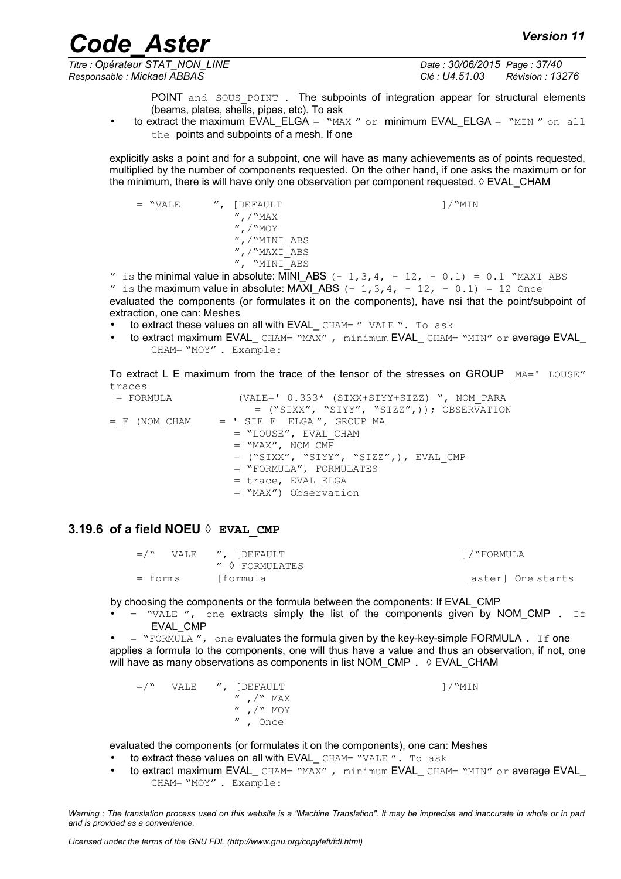*Titre : Opérateur STAT\_NON\_LINE Date : 30/06/2015 Page : 37/40*

*Responsable : Mickael ABBAS Clé : U4.51.03 Révision : 13276*

POINT and SOUS POINT . The subpoints of integration appear for structural elements (beams, plates, shells, pipes, etc). To ask

to extract the maximum EVAL\_ELGA =  $"MAX"$  or minimum EVAL\_ELGA =  $"MIN"$  on all the points and subpoints of a mesh. If one

explicitly asks a point and for a subpoint, one will have as many achievements as of points requested, multiplied by the number of components requested. On the other hand, if one asks the maximum or for the minimum, there is will have only one observation per component requested.  $\Diamond$  EVAL CHAM

 = "VALE ", [DEFAULT ]/"MIN ",/"MAX ",/"MOY ",/"MINI\_ABS ",/"MAXI\_ABS ", "MINI\_ABS

" is the minimal value in absolute: MINI\_ABS  $(-1,3,4, -12, -0.1) = 0.1$  "MAXI\_ABS " is the maximum value in absolute: MAXI\_ABS  $(- 1,3,4, - 12, - 0.1) = 12$  Once evaluated the components (or formulates it on the components), have nsi that the point/subpoint of extraction, one can: Meshes

- to extract these values on all with EVAL CHAM= " VALE ". To ask
- to extract maximum EVAL CHAM= "MAX", minimum EVAL CHAM= "MIN" or average EVAL CHAM= "MOY" . Example:

To extract L E maximum from the trace of the tensor of the stresses on GROUP  $MA =' LOUSE''$ traces

| = FORMULA         | (VALE=' $0.333*$ (SIXX+SIYY+SIZZ) ", NOM PARA |
|-------------------|-----------------------------------------------|
|                   | = ("SIXX", "SIYY", "SIZZ",)); OBSERVATION     |
| $=$ $F$ (NOM CHAM | = ' SIE F ELGA ", GROUP MA                    |
|                   | $=$ "LOUSE", EVAL CHAM                        |
|                   | $=$ "MAX", NOM CMP                            |
|                   | = ("SIXX", "SIYY", "SIZZ",), EVAL CMP         |
|                   | $=$ "FORMULA", FORMULATES                     |
|                   | = trace, EVAL ELGA                            |
|                   | = "MAX") Observation                          |
|                   |                                               |

#### **3.19.6 of a field NOEU ◊ EVAL\_CMP**

<span id="page-36-0"></span> $=$ <sup>"</sup>, [DEFAULT ]/"FORMULA " ◊ FORMULATES = forms [formula \_aster] One starts

by choosing the components or the formula between the components: If EVAL\_CMP

 $=$  "VALE", one extracts simply the list of the components given by NOM CMP . If EVAL\_CMP

 $=$  "FORMULA", one evaluates the formula given by the key-key-simple FORMULA. If one applies a formula to the components, one will thus have a value and thus an observation, if not, one will have as many observations as components in list NOM\_CMP .  $\Diamond$  EVAL\_CHAM

 $=$ /" VALE ", [DEFAULT ]/"MIN  $^{\prime\prime}$  ,  $/$  MAX<br> $^{\prime\prime}$  / MAX  $\prime$ <sup>"</sup> MOY " , Once

evaluated the components (or formulates it on the components), one can: Meshes

- to extract these values on all with EVAL\_CHAM= "VALE". To ask
- to extract maximum EVAL CHAM= "MAX", minimum EVAL CHAM= "MIN" or average EVAL CHAM= "MOY" . Example: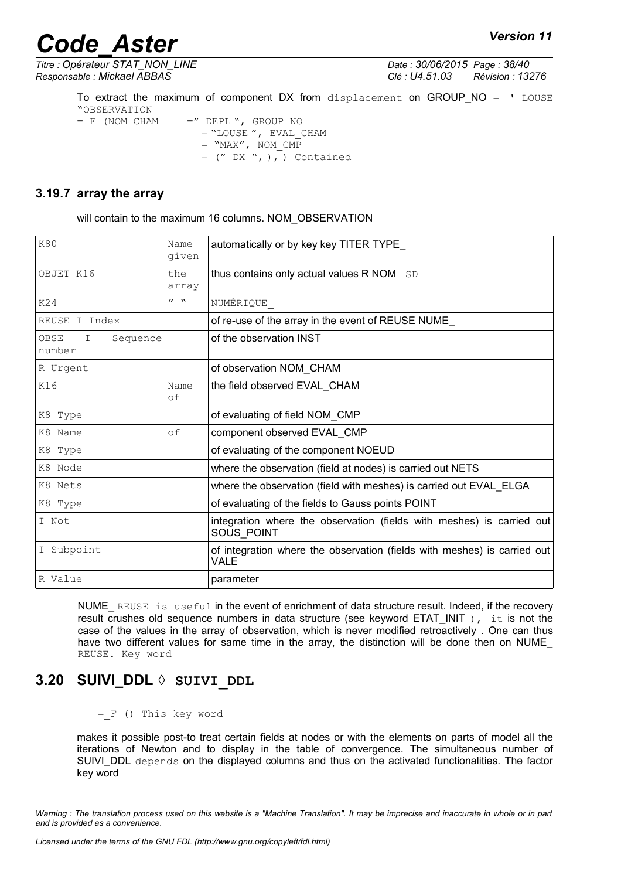*Titre : Opérateur STAT\_NON\_LINE Date : 30/06/2015 Page : 38/40*

*Responsable : Mickael ABBAS Clé : U4.51.03 Révision : 13276*

To extract the maximum of component DX from displacement on GROUP\_NO = ' LOUSE "OBSERVATION<br>= F (NOM CHAM  $=$ " DEPL ", GROUP NO  $=$  "LOUSE", EVAL CHAM  $=$  "MAX", NOM CMP  $=$  (" DX ", ),  $)$  Contained

### **3.19.7 array the array**

<span id="page-37-1"></span>will contain to the maximum 16 columns. NOM\_OBSERVATION

| <b>K80</b>                                | Name<br>given             | automatically or by key key TITER TYPE                                                  |
|-------------------------------------------|---------------------------|-----------------------------------------------------------------------------------------|
| OBJET K16                                 | the<br>array              | thus contains only actual values R NOM SD                                               |
| K24                                       | $\mathbf{v}$ $\mathbf{w}$ | NUMÉRIQUE                                                                               |
| REUSE I Index                             |                           | of re-use of the array in the event of REUSE NUME_                                      |
| OBSE<br>$\mathbf I$<br>Sequence<br>number |                           | of the observation INST                                                                 |
| R Urgent                                  |                           | of observation NOM CHAM                                                                 |
| K16                                       | Name<br>оf                | the field observed EVAL CHAM                                                            |
| K8 Type                                   |                           | of evaluating of field NOM_CMP                                                          |
| K8 Name                                   | of                        | component observed EVAL CMP                                                             |
| K8 Type                                   |                           | of evaluating of the component NOEUD                                                    |
| K8 Node                                   |                           | where the observation (field at nodes) is carried out NETS                              |
| K8 Nets                                   |                           | where the observation (field with meshes) is carried out EVAL_ELGA                      |
| K8 Type                                   |                           | of evaluating of the fields to Gauss points POINT                                       |
| I Not                                     |                           | integration where the observation (fields with meshes) is carried out<br>SOUS POINT     |
| I Subpoint                                |                           | of integration where the observation (fields with meshes) is carried out<br><b>VALE</b> |
| R Value                                   |                           | parameter                                                                               |

NUME\_ REUSE is useful in the event of enrichment of data structure result. Indeed, if the recovery result crushes old sequence numbers in data structure (see keyword ETAT\_INIT), it is not the case of the values in the array of observation, which is never modified retroactively . One can thus have two different values for same time in the array, the distinction will be done then on NUME REUSE. Key word

## **3.20 SUIVI\_DDL ◊ SUIVI\_DDL**

<span id="page-37-0"></span> $=$   $F$  () This key word

makes it possible post-to treat certain fields at nodes or with the elements on parts of model all the iterations of Newton and to display in the table of convergence. The simultaneous number of SUIVI DDL depends on the displayed columns and thus on the activated functionalities. The factor key word

*Warning : The translation process used on this website is a "Machine Translation". It may be imprecise and inaccurate in whole or in part and is provided as a convenience.*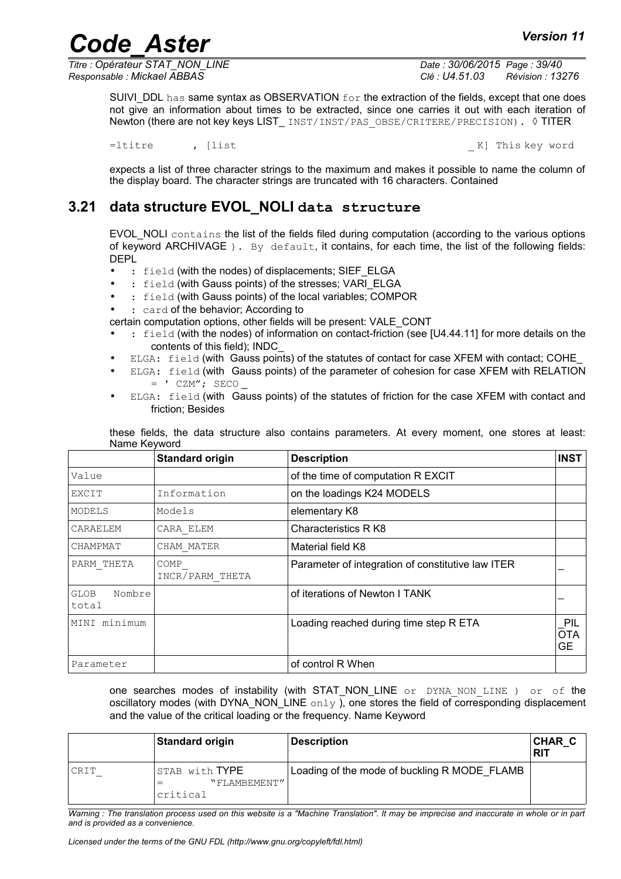*Titre : Opérateur STAT\_NON\_LINE Date : 30/06/2015 Page : 39/40*

*Responsable : Mickael ABBAS Clé : U4.51.03 Révision : 13276*

SUIVI\_DDL has same syntax as OBSERVATION for the extraction of the fields, except that one does not give an information about times to be extracted, since one carries it out with each iteration of Newton (there are not key keys LIST\_ INST/INST/PAS\_OBSE/CRITERE/PRECISION). ◊ TITER

=ltitre , [list \_ K] This key word

expects a list of three character strings to the maximum and makes it possible to name the column of the display board. The character strings are truncated with 16 characters. Contained

## **3.21 data structure EVOL\_NOLI data structure**

<span id="page-38-0"></span>EVOL NOLI contains the list of the fields filed during computation (according to the various options of keyword ARCHIVAGE ). By default, it contains, for each time, the list of the following fields: DEPL

- : field (with the nodes) of displacements; SIEF\_ELGA
- : field (with Gauss points) of the stresses; VARI ELGA
- : field (with Gauss points) of the local variables: COMPOR
- : card of the behavior; According to

certain computation options, other fields will be present: VALE\_CONT

- : field (with the nodes) of information on contact-friction (see [U4.44.11] for more details on the contents of this field); INDC\_
- ELGA: field (with Gauss points) of the statutes of contact for case XFEM with contact; COHE
- ELGA: field (with Gauss points) of the parameter of cohesion for case XFEM with RELATION  $=$   $CZM''$ ; SECO
- ELGA: field (with Gauss points) of the statutes of friction for the case XFEM with contact and friction; Besides

these fields, the data structure also contains parameters. At every moment, one stores at least: Name Keyword

|                                | <b>Standard origin</b>  | <b>Description</b>                                | <b>INST</b>                    |
|--------------------------------|-------------------------|---------------------------------------------------|--------------------------------|
| Value                          |                         | of the time of computation R EXCIT                |                                |
| EXCIT                          | Information             | on the loadings K24 MODELS                        |                                |
| <b>MODELS</b>                  | Models                  | elementary K8                                     |                                |
| CARAELEM                       | CARA ELEM               | <b>Characteristics RK8</b>                        |                                |
| CHAMPMAT                       | CHAM MATER              | Material field K8                                 |                                |
| PARM THETA                     | COMP<br>INCR/PARM THETA | Parameter of integration of constitutive law ITER |                                |
| <b>GLOB</b><br>Nombre<br>total |                         | of iterations of Newton I TANK                    |                                |
| MINI minimum                   |                         | Loading reached during time step R ETA            | PIL<br><b>OTA</b><br><b>GE</b> |
| Parameter                      |                         | of control R When                                 |                                |

one searches modes of instability (with STAT\_NON\_LINE or DYNA NON LINE ) or of the oscillatory modes (with DYNA\_NON\_LINE  $\text{only}$ ), one stores the field of corresponding displacement and the value of the critical loading or the frequency. Name Keyword

|      | <b>Standard origin</b>                     | <b>Description</b>                           | CHAR C<br><b>RIT</b> |
|------|--------------------------------------------|----------------------------------------------|----------------------|
| CRIT | STAB with TYPE<br>"FLAMBEMENT"<br>critical | Loading of the mode of buckling R MODE FLAMB |                      |